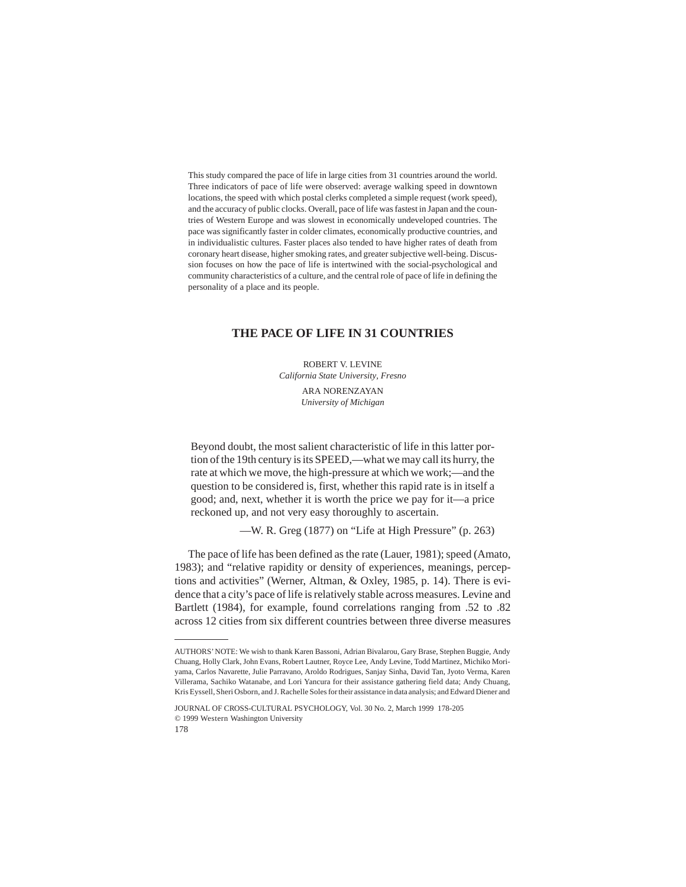This study compared the pace of life in large cities from 31 countries around the world. Three indicators of pace of life were observed: average walking speed in downtown locations, the speed with which postal clerks completed a simple request (work speed), and the accuracy of public clocks. Overall, pace of life was fastest in Japan and the countries of Western Europe and was slowest in economically undeveloped countries. The pace was significantly faster in colder climates, economically productive countries, and in individualistic cultures. Faster places also tended to have higher rates of death from coronary heart disease, higher smoking rates, and greater subjective well-being. Discussion focuses on how the pace of life is intertwined with the social-psychological and community characteristics of a culture, and the central role of pace of life in defining the personality of a place and its people.

# **THE PACE OF LIFE IN 31 COUNTRIES**

ROBERT V. LEVINE *California State University, Fresno* ARA NORENZAYAN *University of Michigan*

Beyond doubt, the most salient characteristic of life in this latter portion of the 19th century is its SPEED,—what we may call its hurry, the rate at which we move, the high-pressure at which we work;—and the question to be considered is, first, whether this rapid rate is in itself a good; and, next, whether it is worth the price we pay for it—a price reckoned up, and not very easy thoroughly to ascertain.

—W. R. Greg (1877) on "Life at High Pressure" (p. 263)

The pace of life has been defined as the rate (Lauer, 1981); speed (Amato, 1983); and "relative rapidity or density of experiences, meanings, perceptions and activities" (Werner, Altman, & Oxley, 1985, p. 14). There is evidence that a city's pace of life is relatively stable across measures. Levine and Bartlett (1984), for example, found correlations ranging from .52 to .82 across 12 cities from six different countries between three diverse measures

AUTHORS' NOTE: We wish to thank Karen Bassoni, Adrian Bivalarou, Gary Brase, Stephen Buggie, Andy Chuang, Holly Clark, John Evans, Robert Lautner, Royce Lee, Andy Levine, Todd Martinez, Michiko Moriyama, Carlos Navarette, Julie Parravano, Aroldo Rodrigues, Sanjay Sinha, David Tan, Jyoto Verma, Karen Villerama, Sachiko Watanabe, and Lori Yancura for their assistance gathering field data; Andy Chuang, Kris Eyssell, Sheri Osborn, and J. Rachelle Soles fortheir assistance in data analysis; and Edward Diener and

JOURNAL OF CROSS-CULTURAL PSYCHOLOGY, Vol. 30 No. 2, March 1999 178-205 © 1999 Western Washington University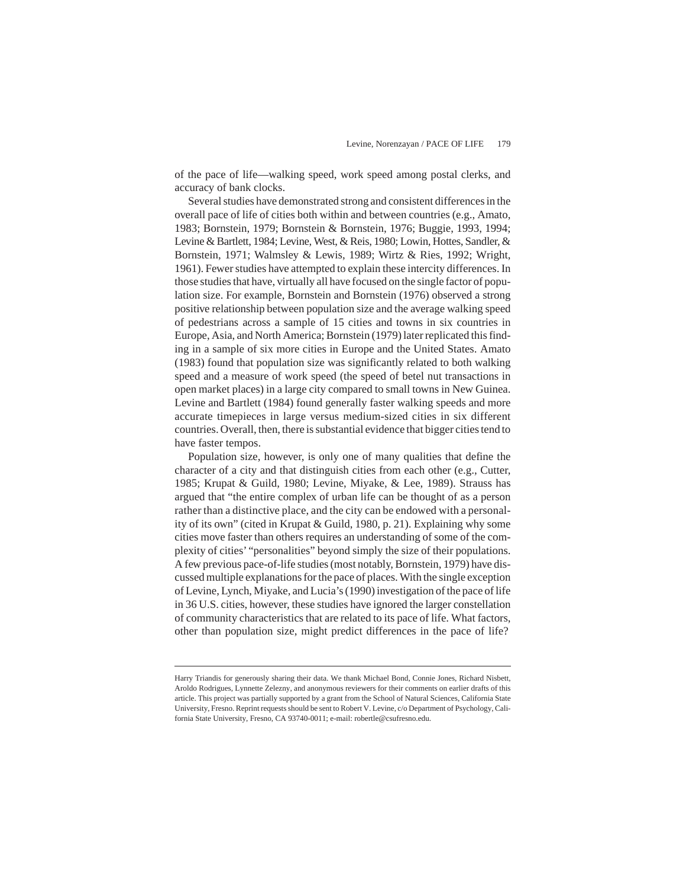of the pace of life—walking speed, work speed among postal clerks, and accuracy of bank clocks.

Several studies have demonstrated strong and consistent differences in the overall pace of life of cities both within and between countries (e.g., Amato, 1983; Bornstein, 1979; Bornstein & Bornstein, 1976; Buggie, 1993, 1994; Levine & Bartlett, 1984; Levine, West, & Reis, 1980; Lowin, Hottes, Sandler, & Bornstein, 1971; Walmsley & Lewis, 1989; Wirtz & Ries, 1992; Wright, 1961). Fewer studies have attempted to explain these intercity differences. In those studies that have, virtually all have focused on the single factor of population size. For example, Bornstein and Bornstein (1976) observed a strong positive relationship between population size and the average walking speed of pedestrians across a sample of 15 cities and towns in six countries in Europe, Asia, and North America; Bornstein (1979) later replicated this finding in a sample of six more cities in Europe and the United States. Amato (1983) found that population size was significantly related to both walking speed and a measure of work speed (the speed of betel nut transactions in open market places) in a large city compared to small towns in New Guinea. Levine and Bartlett (1984) found generally faster walking speeds and more accurate timepieces in large versus medium-sized cities in six different countries. Overall, then, there is substantial evidence that bigger cities tend to have faster tempos.

Population size, however, is only one of many qualities that define the character of a city and that distinguish cities from each other (e.g., Cutter, 1985; Krupat & Guild, 1980; Levine, Miyake, & Lee, 1989). Strauss has argued that "the entire complex of urban life can be thought of as a person rather than a distinctive place, and the city can be endowed with a personality of its own" (cited in Krupat & Guild, 1980, p. 21). Explaining why some cities move faster than others requires an understanding of some of the complexity of cities' "personalities" beyond simply the size of their populations. A few previous pace-of-life studies (most notably, Bornstein, 1979) have discussed multiple explanations for the pace of places. With the single exception of Levine, Lynch, Miyake, and Lucia's (1990) investigation of the pace of life in 36 U.S. cities, however, these studies have ignored the larger constellation of community characteristics that are related to its pace of life. What factors, other than population size, might predict differences in the pace of life?

Harry Triandis for generously sharing their data. We thank Michael Bond, Connie Jones, Richard Nisbett, Aroldo Rodrigues, Lynnette Zelezny, and anonymous reviewers for their comments on earlier drafts of this article. This project was partially supported by a grant from the School of Natural Sciences, California State University, Fresno. Reprint requests should be sent to Robert V. Levine, c/o Department of Psychology, California State University, Fresno, CA 93740-0011; e-mail: robertle@csufresno.edu.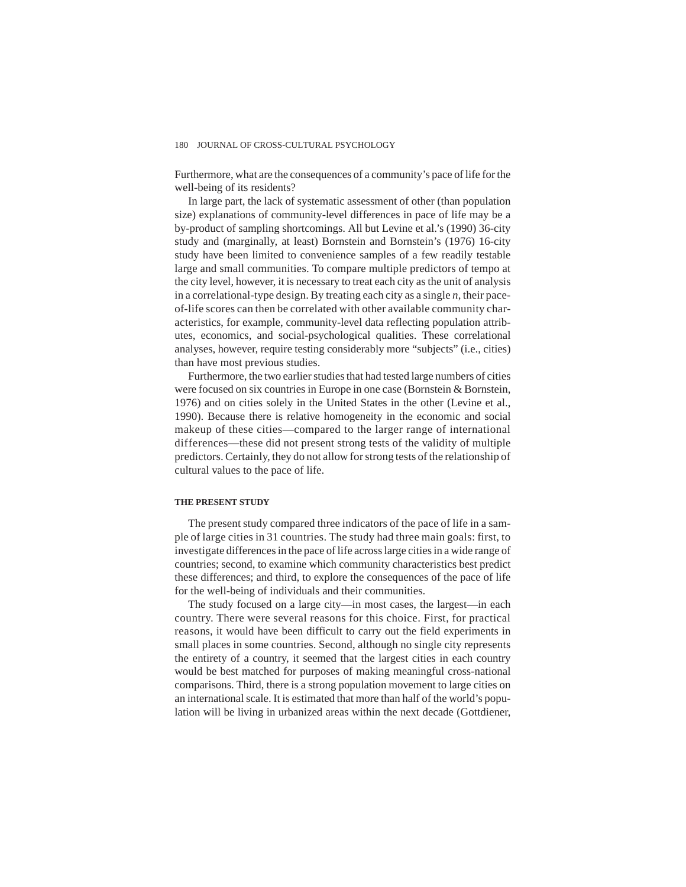Furthermore, what are the consequences of a community's pace of life for the well-being of its residents?

In large part, the lack of systematic assessment of other (than population size) explanations of community-level differences in pace of life may be a by-product of sampling shortcomings. All but Levine et al.'s (1990) 36-city study and (marginally, at least) Bornstein and Bornstein's (1976) 16-city study have been limited to convenience samples of a few readily testable large and small communities. To compare multiple predictors of tempo at the city level, however, it is necessary to treat each city as the unit of analysis in a correlational-type design. By treating each city as a single *n*, their paceof-life scores can then be correlated with other available community characteristics, for example, community-level data reflecting population attributes, economics, and social-psychological qualities. These correlational analyses, however, require testing considerably more "subjects" (i.e., cities) than have most previous studies.

Furthermore, the two earlier studies that had tested large numbers of cities were focused on six countries in Europe in one case (Bornstein & Bornstein, 1976) and on cities solely in the United States in the other (Levine et al., 1990). Because there is relative homogeneity in the economic and social makeup of these cities—compared to the larger range of international differences—these did not present strong tests of the validity of multiple predictors. Certainly, they do not allow for strong tests of the relationship of cultural values to the pace of life.

### **THE PRESENT STUDY**

The present study compared three indicators of the pace of life in a sample of large cities in 31 countries. The study had three main goals: first, to investigate differences in the pace of life across large cities in a wide range of countries; second, to examine which community characteristics best predict these differences; and third, to explore the consequences of the pace of life for the well-being of individuals and their communities.

The study focused on a large city—in most cases, the largest—in each country. There were several reasons for this choice. First, for practical reasons, it would have been difficult to carry out the field experiments in small places in some countries. Second, although no single city represents the entirety of a country, it seemed that the largest cities in each country would be best matched for purposes of making meaningful cross-national comparisons. Third, there is a strong population movement to large cities on an international scale. It is estimated that more than half of the world's population will be living in urbanized areas within the next decade (Gottdiener,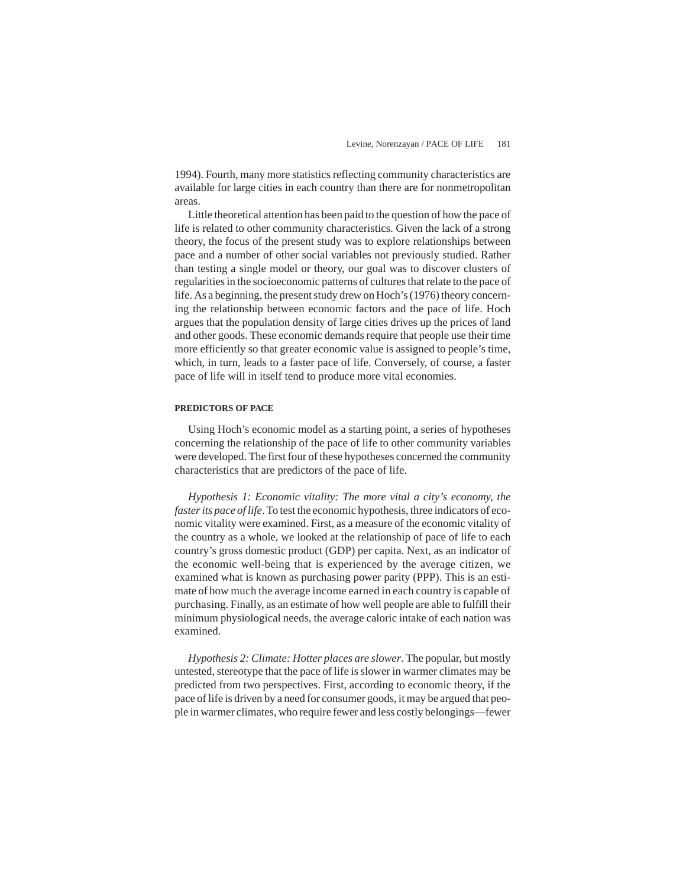1994). Fourth, many more statistics reflecting community characteristics are available for large cities in each country than there are for nonmetropolitan areas.

Little theoretical attention has been paid to the question of how the pace of life is related to other community characteristics. Given the lack of a strong theory, the focus of the present study was to explore relationships between pace and a number of other social variables not previously studied. Rather than testing a single model or theory, our goal was to discover clusters of regularities in the socioeconomic patterns of cultures that relate to the pace of life. As a beginning, the present study drew on Hoch's (1976) theory concerning the relationship between economic factors and the pace of life. Hoch argues that the population density of large cities drives up the prices of land and other goods. These economic demands require that people use their time more efficiently so that greater economic value is assigned to people's time, which, in turn, leads to a faster pace of life. Conversely, of course, a faster pace of life will in itself tend to produce more vital economies.

#### **PREDICTORS OF PACE**

Using Hoch's economic model as a starting point, a series of hypotheses concerning the relationship of the pace of life to other community variables were developed. The first four of these hypotheses concerned the community characteristics that are predictors of the pace of life.

*Hypothesis 1: Economic vitality: The more vital a city's economy, the faster its pace of life*. To test the economic hypothesis, three indicators of economic vitality were examined. First, as a measure of the economic vitality of the country as a whole, we looked at the relationship of pace of life to each country's gross domestic product (GDP) per capita. Next, as an indicator of the economic well-being that is experienced by the average citizen, we examined what is known as purchasing power parity (PPP). This is an estimate of how much the average income earned in each country is capable of purchasing. Finally, as an estimate of how well people are able to fulfill their minimum physiological needs, the average caloric intake of each nation was examined.

*Hypothesis 2: Climate: Hotter places are slower*. The popular, but mostly untested, stereotype that the pace of life is slower in warmer climates may be predicted from two perspectives. First, according to economic theory, if the pace of life is driven by a need for consumer goods, it may be argued that people in warmer climates, who require fewer and less costly belongings—fewer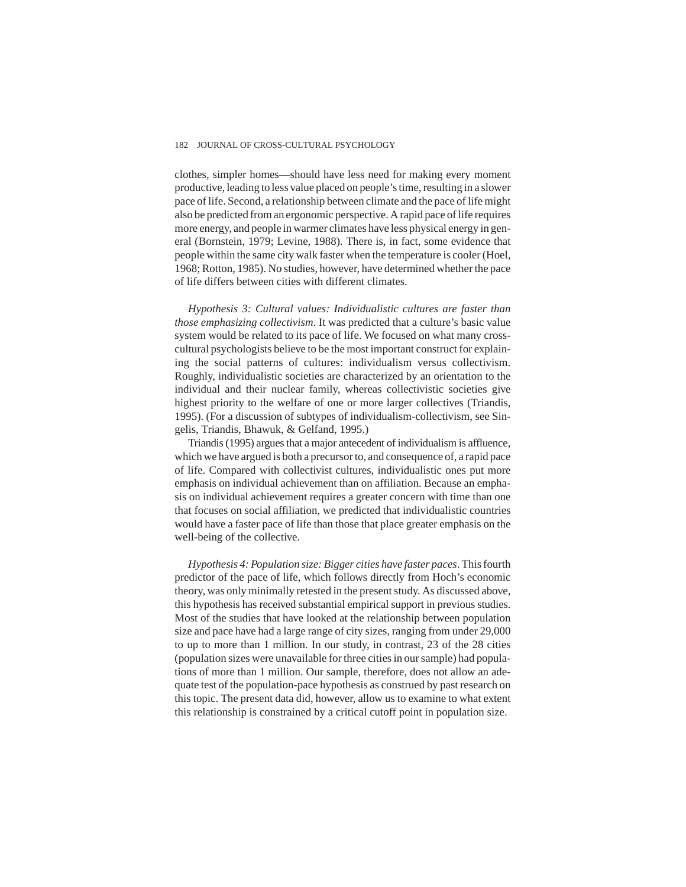clothes, simpler homes—should have less need for making every moment productive, leading to less value placed on people's time, resulting in a slower pace of life. Second, a relationship between climate and the pace of life might also be predicted from an ergonomic perspective. A rapid pace of life requires more energy, and people in warmer climates have less physical energy in general (Bornstein, 1979; Levine, 1988). There is, in fact, some evidence that people within the same city walk faster when the temperature is cooler (Hoel, 1968; Rotton, 1985). No studies, however, have determined whether the pace of life differs between cities with different climates.

*Hypothesis 3: Cultural values: Individualistic cultures are faster than those emphasizing collectivism*. It was predicted that a culture's basic value system would be related to its pace of life. We focused on what many crosscultural psychologists believe to be the most important construct for explaining the social patterns of cultures: individualism versus collectivism. Roughly, individualistic societies are characterized by an orientation to the individual and their nuclear family, whereas collectivistic societies give highest priority to the welfare of one or more larger collectives (Triandis, 1995). (For a discussion of subtypes of individualism-collectivism, see Singelis, Triandis, Bhawuk, & Gelfand, 1995.)

Triandis (1995) argues that a major antecedent of individualism is affluence, which we have argued is both a precursor to, and consequence of, a rapid pace of life. Compared with collectivist cultures, individualistic ones put more emphasis on individual achievement than on affiliation. Because an emphasis on individual achievement requires a greater concern with time than one that focuses on social affiliation, we predicted that individualistic countries would have a faster pace of life than those that place greater emphasis on the well-being of the collective.

*Hypothesis 4: Population size: Bigger cities have faster paces*. This fourth predictor of the pace of life, which follows directly from Hoch's economic theory, was only minimally retested in the present study. As discussed above, this hypothesis has received substantial empirical support in previous studies. Most of the studies that have looked at the relationship between population size and pace have had a large range of city sizes, ranging from under 29,000 to up to more than 1 million. In our study, in contrast, 23 of the 28 cities (population sizes were unavailable for three cities in our sample) had populations of more than 1 million. Our sample, therefore, does not allow an adequate test of the population-pace hypothesis as construed by past research on this topic. The present data did, however, allow us to examine to what extent this relationship is constrained by a critical cutoff point in population size.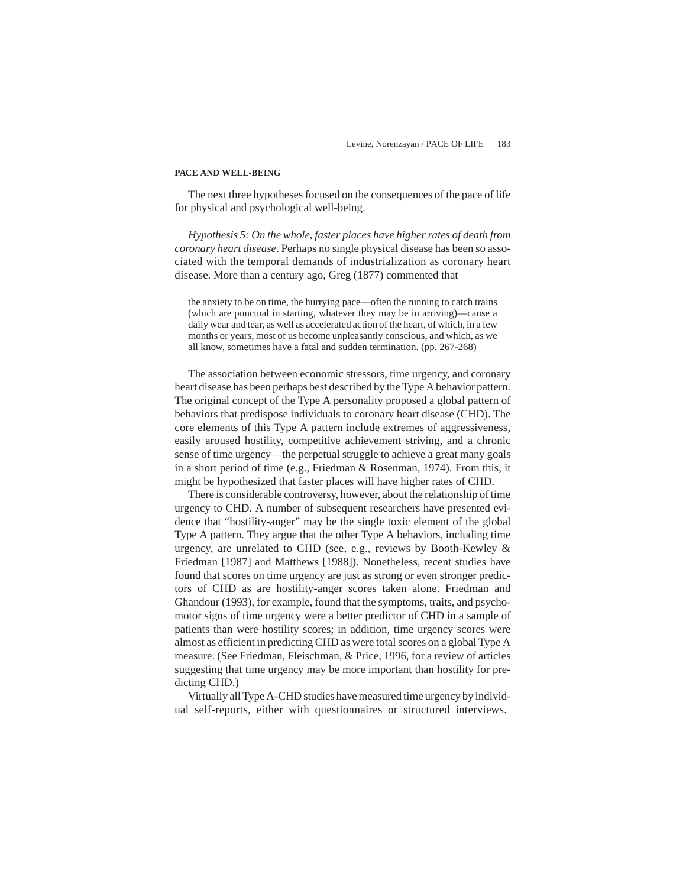### **PACE AND WELL-BEING**

The next three hypotheses focused on the consequences of the pace of life for physical and psychological well-being.

*Hypothesis 5: On the whole, faster places have higher rates of death from coronary heart disease*. Perhaps no single physical disease has been so associated with the temporal demands of industrialization as coronary heart disease. More than a century ago, Greg (1877) commented that

the anxiety to be on time, the hurrying pace—often the running to catch trains (which are punctual in starting, whatever they may be in arriving)—cause a daily wear and tear, as well as accelerated action of the heart, of which, in a few months or years, most of us become unpleasantly conscious, and which, as we all know, sometimes have a fatal and sudden termination. (pp. 267-268)

The association between economic stressors, time urgency, and coronary heart disease has been perhaps best described by the Type A behavior pattern. The original concept of the Type A personality proposed a global pattern of behaviors that predispose individuals to coronary heart disease (CHD). The core elements of this Type A pattern include extremes of aggressiveness, easily aroused hostility, competitive achievement striving, and a chronic sense of time urgency—the perpetual struggle to achieve a great many goals in a short period of time (e.g., Friedman & Rosenman, 1974). From this, it might be hypothesized that faster places will have higher rates of CHD.

There is considerable controversy, however, about the relationship of time urgency to CHD. A number of subsequent researchers have presented evidence that "hostility-anger" may be the single toxic element of the global Type A pattern. They argue that the other Type A behaviors, including time urgency, are unrelated to CHD (see, e.g., reviews by Booth-Kewley & Friedman [1987] and Matthews [1988]). Nonetheless, recent studies have found that scores on time urgency are just as strong or even stronger predictors of CHD as are hostility-anger scores taken alone. Friedman and Ghandour (1993), for example, found that the symptoms, traits, and psychomotor signs of time urgency were a better predictor of CHD in a sample of patients than were hostility scores; in addition, time urgency scores were almost as efficient in predicting CHD as were total scores on a global Type A measure. (See Friedman, Fleischman, & Price, 1996, for a review of articles suggesting that time urgency may be more important than hostility for predicting CHD.)

Virtually all Type A-CHD studies have measured time urgency by individual self-reports, either with questionnaires or structured interviews.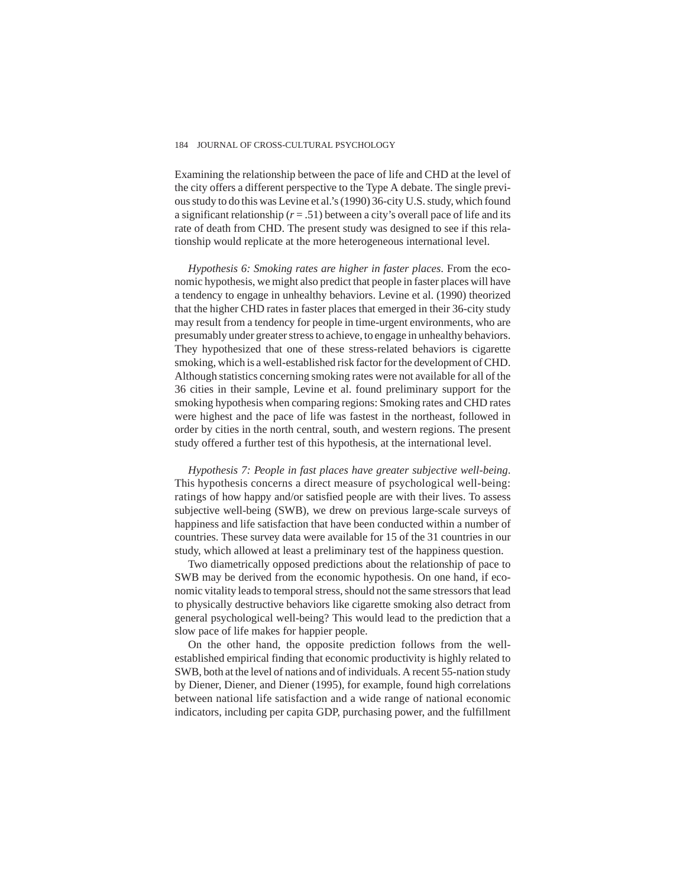Examining the relationship between the pace of life and CHD at the level of the city offers a different perspective to the Type A debate. The single previous study to do this was Levine et al.'s (1990) 36-city U.S. study, which found a significant relationship (*r* = .51) between a city's overall pace of life and its rate of death from CHD. The present study was designed to see if this relationship would replicate at the more heterogeneous international level.

*Hypothesis 6: Smoking rates are higher in faster places*. From the economic hypothesis, we might also predict that people in faster places will have a tendency to engage in unhealthy behaviors. Levine et al. (1990) theorized that the higher CHD rates in faster places that emerged in their 36-city study may result from a tendency for people in time-urgent environments, who are presumably under greater stress to achieve, to engage in unhealthy behaviors. They hypothesized that one of these stress-related behaviors is cigarette smoking, which is a well-established risk factor for the development of CHD. Although statistics concerning smoking rates were not available for all of the 36 cities in their sample, Levine et al. found preliminary support for the smoking hypothesis when comparing regions: Smoking rates and CHD rates were highest and the pace of life was fastest in the northeast, followed in order by cities in the north central, south, and western regions. The present study offered a further test of this hypothesis, at the international level.

*Hypothesis 7: People in fast places have greater subjective well-being*. This hypothesis concerns a direct measure of psychological well-being: ratings of how happy and/or satisfied people are with their lives. To assess subjective well-being (SWB), we drew on previous large-scale surveys of happiness and life satisfaction that have been conducted within a number of countries. These survey data were available for 15 of the 31 countries in our study, which allowed at least a preliminary test of the happiness question.

Two diametrically opposed predictions about the relationship of pace to SWB may be derived from the economic hypothesis. On one hand, if economic vitality leads to temporal stress, should not the same stressors that lead to physically destructive behaviors like cigarette smoking also detract from general psychological well-being? This would lead to the prediction that a slow pace of life makes for happier people.

On the other hand, the opposite prediction follows from the wellestablished empirical finding that economic productivity is highly related to SWB, both at the level of nations and of individuals. A recent 55-nation study by Diener, Diener, and Diener (1995), for example, found high correlations between national life satisfaction and a wide range of national economic indicators, including per capita GDP, purchasing power, and the fulfillment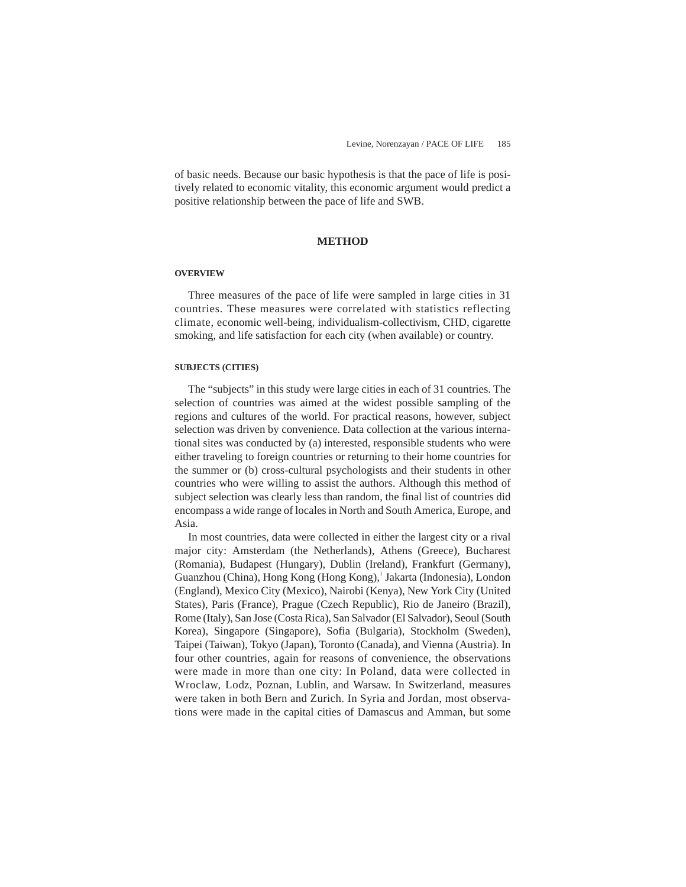of basic needs. Because our basic hypothesis is that the pace of life is positively related to economic vitality, this economic argument would predict a positive relationship between the pace of life and SWB.

## **METHOD**

## **OVERVIEW**

Three measures of the pace of life were sampled in large cities in 31 countries. These measures were correlated with statistics reflecting climate, economic well-being, individualism-collectivism, CHD, cigarette smoking, and life satisfaction for each city (when available) or country.

## **SUBJECTS (CITIES)**

The "subjects" in this study were large cities in each of 31 countries. The selection of countries was aimed at the widest possible sampling of the regions and cultures of the world. For practical reasons, however, subject selection was driven by convenience. Data collection at the various international sites was conducted by (a) interested, responsible students who were either traveling to foreign countries or returning to their home countries for the summer or (b) cross-cultural psychologists and their students in other countries who were willing to assist the authors. Although this method of subject selection was clearly less than random, the final list of countries did encompass a wide range of locales in North and South America, Europe, and Asia.

In most countries, data were collected in either the largest city or a rival major city: Amsterdam (the Netherlands), Athens (Greece), Bucharest (Romania), Budapest (Hungary), Dublin (Ireland), Frankfurt (Germany), Guanzhou (China), Hong Kong (Hong Kong), <sup>1</sup> Jakarta (Indonesia), London (England), Mexico City (Mexico), Nairobi (Kenya), New York City (United States), Paris (France), Prague (Czech Republic), Rio de Janeiro (Brazil), Rome (Italy), San Jose (Costa Rica), San Salvador (El Salvador), Seoul (South Korea), Singapore (Singapore), Sofia (Bulgaria), Stockholm (Sweden), Taipei (Taiwan), Tokyo (Japan), Toronto (Canada), and Vienna (Austria). In four other countries, again for reasons of convenience, the observations were made in more than one city: In Poland, data were collected in Wroclaw, Lodz, Poznan, Lublin, and Warsaw. In Switzerland, measures were taken in both Bern and Zurich. In Syria and Jordan, most observations were made in the capital cities of Damascus and Amman, but some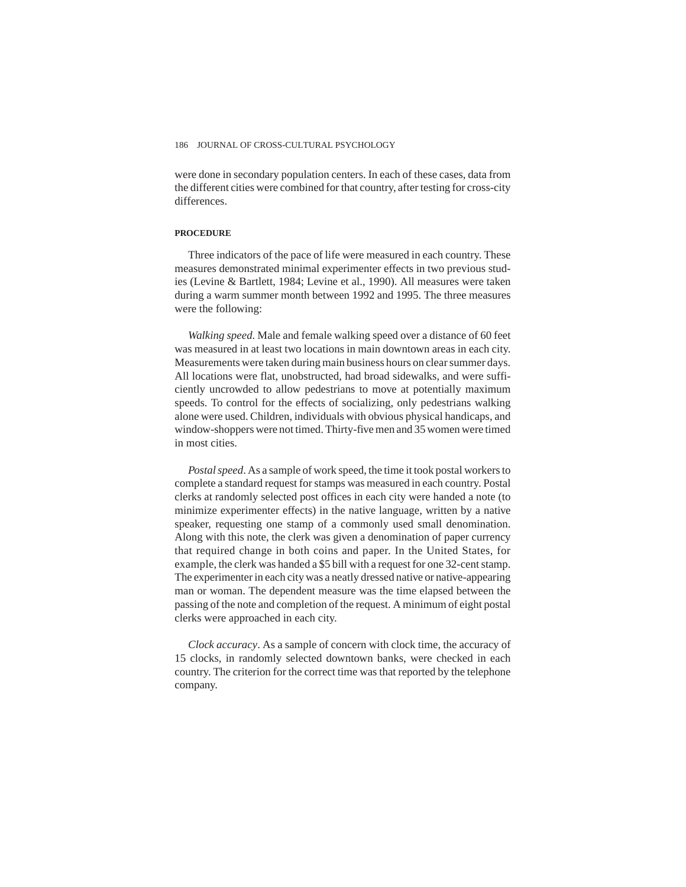were done in secondary population centers. In each of these cases, data from the different cities were combined for that country, after testing for cross-city differences.

## **PROCEDURE**

Three indicators of the pace of life were measured in each country. These measures demonstrated minimal experimenter effects in two previous studies (Levine & Bartlett, 1984; Levine et al., 1990). All measures were taken during a warm summer month between 1992 and 1995. The three measures were the following:

*Walking speed*. Male and female walking speed over a distance of 60 feet was measured in at least two locations in main downtown areas in each city. Measurements were taken during main business hours on clear summer days. All locations were flat, unobstructed, had broad sidewalks, and were sufficiently uncrowded to allow pedestrians to move at potentially maximum speeds. To control for the effects of socializing, only pedestrians walking alone were used. Children, individuals with obvious physical handicaps, and window-shoppers were not timed. Thirty-five men and 35 women were timed in most cities.

*Postal speed*. As a sample of work speed, the time it took postal workers to complete a standard request for stamps was measured in each country. Postal clerks at randomly selected post offices in each city were handed a note (to minimize experimenter effects) in the native language, written by a native speaker, requesting one stamp of a commonly used small denomination. Along with this note, the clerk was given a denomination of paper currency that required change in both coins and paper. In the United States, for example, the clerk was handed a \$5 bill with a request for one 32-cent stamp. The experimenter in each city was a neatly dressed native or native-appearing man or woman. The dependent measure was the time elapsed between the passing of the note and completion of the request. A minimum of eight postal clerks were approached in each city.

*Clock accuracy*. As a sample of concern with clock time, the accuracy of 15 clocks, in randomly selected downtown banks, were checked in each country. The criterion for the correct time was that reported by the telephone company.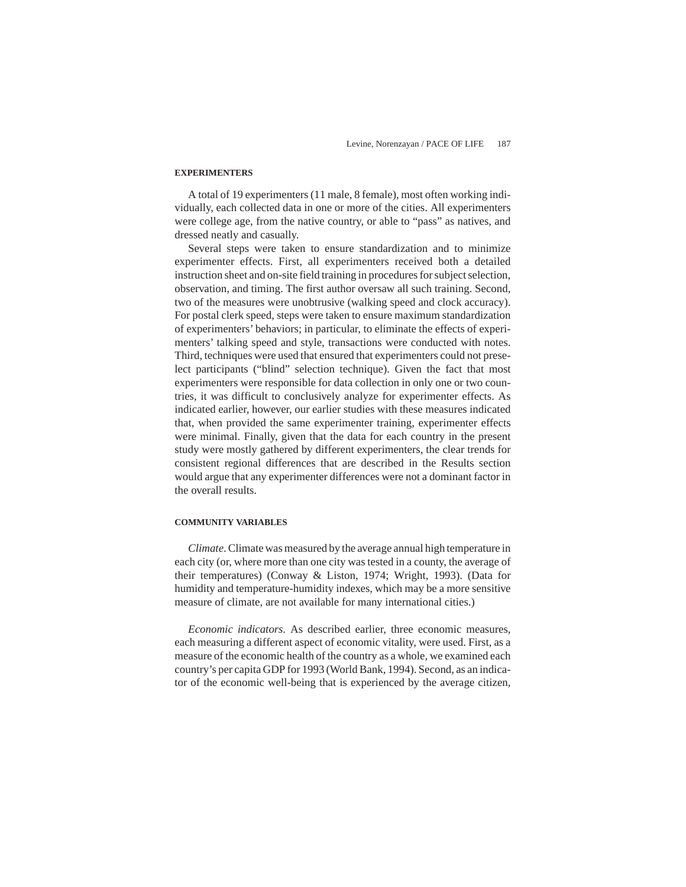## **EXPERIMENTERS**

A total of 19 experimenters (11 male, 8 female), most often working individually, each collected data in one or more of the cities. All experimenters were college age, from the native country, or able to "pass" as natives, and dressed neatly and casually.

Several steps were taken to ensure standardization and to minimize experimenter effects. First, all experimenters received both a detailed instruction sheet and on-site field training in procedures for subject selection, observation, and timing. The first author oversaw all such training. Second, two of the measures were unobtrusive (walking speed and clock accuracy). For postal clerk speed, steps were taken to ensure maximum standardization of experimenters' behaviors; in particular, to eliminate the effects of experimenters' talking speed and style, transactions were conducted with notes. Third, techniques were used that ensured that experimenters could not preselect participants ("blind" selection technique). Given the fact that most experimenters were responsible for data collection in only one or two countries, it was difficult to conclusively analyze for experimenter effects. As indicated earlier, however, our earlier studies with these measures indicated that, when provided the same experimenter training, experimenter effects were minimal. Finally, given that the data for each country in the present study were mostly gathered by different experimenters, the clear trends for consistent regional differences that are described in the Results section would argue that any experimenter differences were not a dominant factor in the overall results.

## **COMMUNITY VARIABLES**

*Climate*. Climate was measured by the average annual high temperature in each city (or, where more than one city was tested in a county, the average of their temperatures) (Conway & Liston, 1974; Wright, 1993). (Data for humidity and temperature-humidity indexes, which may be a more sensitive measure of climate, are not available for many international cities.)

*Economic indicators*. As described earlier, three economic measures, each measuring a different aspect of economic vitality, were used. First, as a measure of the economic health of the country as a whole, we examined each country's per capita GDP for 1993 (World Bank, 1994). Second, as an indicator of the economic well-being that is experienced by the average citizen,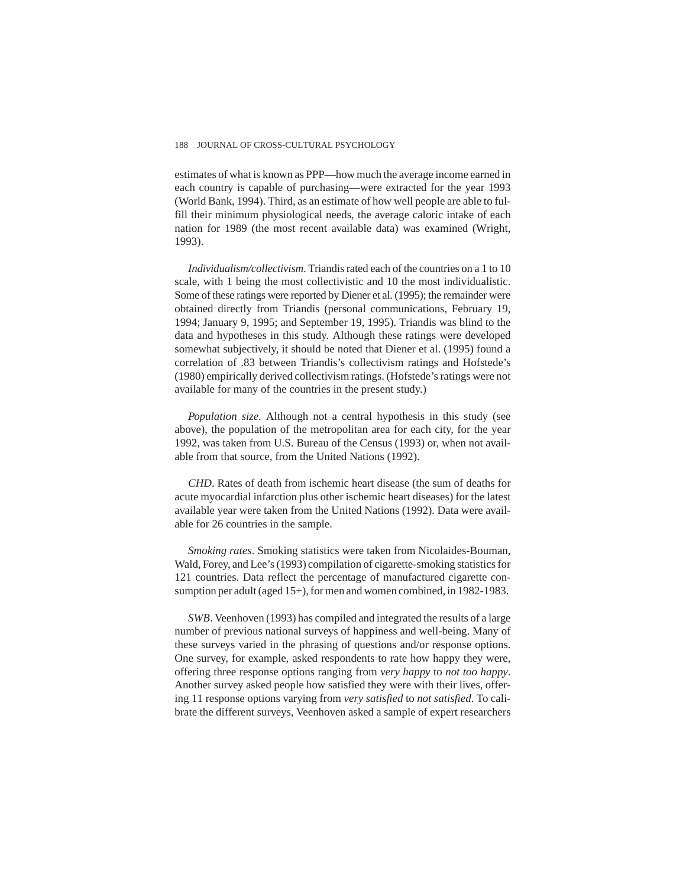estimates of what is known as PPP—how much the average income earned in each country is capable of purchasing—were extracted for the year 1993 (World Bank, 1994). Third, as an estimate of how well people are able to fulfill their minimum physiological needs, the average caloric intake of each nation for 1989 (the most recent available data) was examined (Wright, 1993).

*Individualism/collectivism*. Triandis rated each of the countries on a 1 to 10 scale, with 1 being the most collectivistic and 10 the most individualistic. Some of these ratings were reported by Diener et al. (1995); the remainder were obtained directly from Triandis (personal communications, February 19, 1994; January 9, 1995; and September 19, 1995). Triandis was blind to the data and hypotheses in this study. Although these ratings were developed somewhat subjectively, it should be noted that Diener et al. (1995) found a correlation of .83 between Triandis's collectivism ratings and Hofstede's (1980) empirically derived collectivism ratings. (Hofstede's ratings were not available for many of the countries in the present study.)

*Population size*. Although not a central hypothesis in this study (see above), the population of the metropolitan area for each city, for the year 1992, was taken from U.S. Bureau of the Census (1993) or, when not available from that source, from the United Nations (1992).

*CHD*. Rates of death from ischemic heart disease (the sum of deaths for acute myocardial infarction plus other ischemic heart diseases) for the latest available year were taken from the United Nations (1992). Data were available for 26 countries in the sample.

*Smoking rates*. Smoking statistics were taken from Nicolaides-Bouman, Wald, Forey, and Lee's (1993) compilation of cigarette-smoking statistics for 121 countries. Data reflect the percentage of manufactured cigarette consumption per adult (aged 15+), for men and women combined, in 1982-1983.

*SWB*. Veenhoven (1993) has compiled and integrated the results of a large number of previous national surveys of happiness and well-being. Many of these surveys varied in the phrasing of questions and/or response options. One survey, for example, asked respondents to rate how happy they were, offering three response options ranging from *very happy* to *not too happy*. Another survey asked people how satisfied they were with their lives, offering 11 response options varying from *very satisfied* to *not satisfied*. To calibrate the different surveys, Veenhoven asked a sample of expert researchers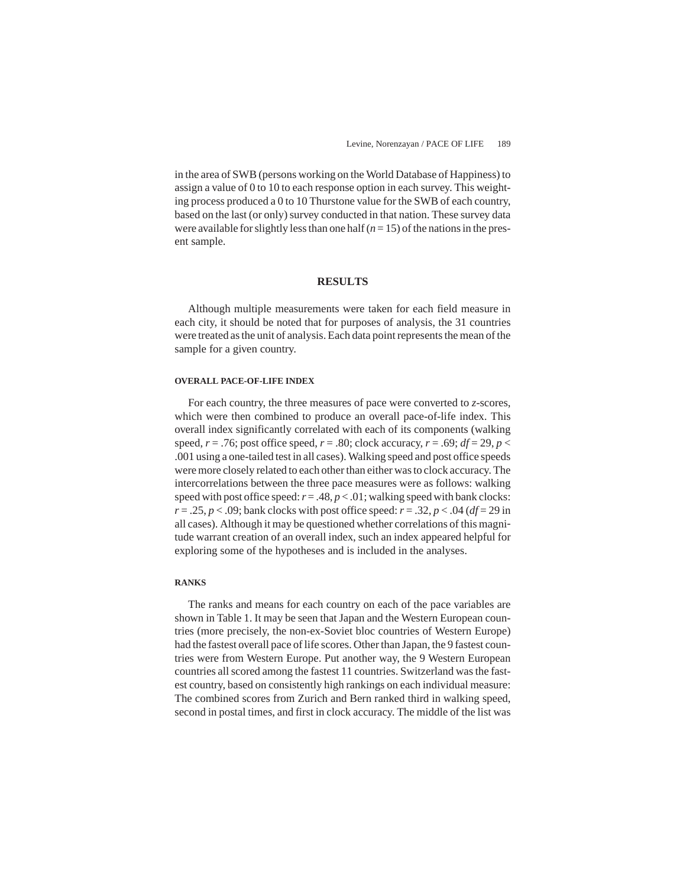in the area of SWB (persons working on the World Database of Happiness) to assign a value of 0 to 10 to each response option in each survey. This weighting process produced a 0 to 10 Thurstone value for the SWB of each country, based on the last (or only) survey conducted in that nation. These survey data were available for slightly less than one half  $(n = 15)$  of the nations in the present sample.

## **RESULTS**

Although multiple measurements were taken for each field measure in each city, it should be noted that for purposes of analysis, the 31 countries were treated as the unit of analysis. Each data point represents the mean of the sample for a given country.

## **OVERALL PACE-OF-LIFE INDEX**

For each country, the three measures of pace were converted to *z*-scores, which were then combined to produce an overall pace-of-life index. This overall index significantly correlated with each of its components (walking speed,  $r = .76$ ; post office speed,  $r = .80$ ; clock accuracy,  $r = .69$ ;  $df = 29$ ,  $p <$ .001 using a one-tailed test in all cases). Walking speed and post office speeds were more closely related to each other than either was to clock accuracy. The intercorrelations between the three pace measures were as follows: walking speed with post office speed:  $r = .48$ ,  $p < .01$ ; walking speed with bank clocks:  $r = .25$ ,  $p < .09$ ; bank clocks with post office speed:  $r = .32$ ,  $p < .04$  ( $df = 29$  in all cases). Although it may be questioned whether correlations of this magnitude warrant creation of an overall index, such an index appeared helpful for exploring some of the hypotheses and is included in the analyses.

### **RANKS**

The ranks and means for each country on each of the pace variables are shown in Table 1. It may be seen that Japan and the Western European countries (more precisely, the non-ex-Soviet bloc countries of Western Europe) had the fastest overall pace of life scores. Other than Japan, the 9 fastest countries were from Western Europe. Put another way, the 9 Western European countries all scored among the fastest 11 countries. Switzerland was the fastest country, based on consistently high rankings on each individual measure: The combined scores from Zurich and Bern ranked third in walking speed, second in postal times, and first in clock accuracy. The middle of the list was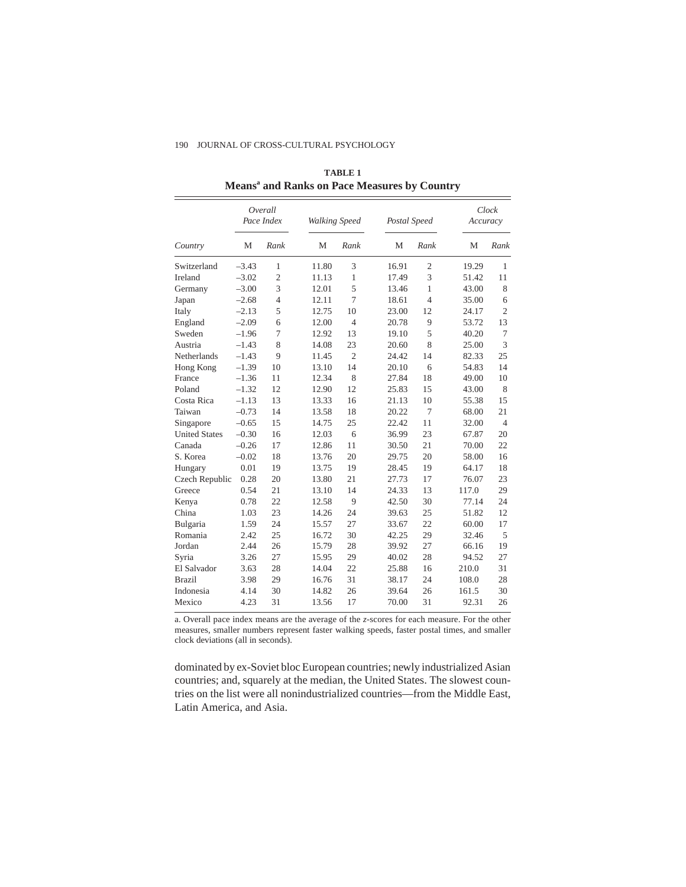*Overall Clock Pace Index Walking Speed Postal Speed Accuracy Country* M *Rank* M *Rank* M *Rank* M *Rank* Switzerland –3.43 1 11.80 3 16.91 2 19.29 1 Ireland –3.02 2 11.13 1 17.49 3 51.42 11 Germany –3.00 3 12.01 5 13.46 1 43.00 8 Japan –2.68 4 12.11 7 18.61 4 35.00 6 Italy –2.13 5 12.75 10 23.00 12 24.17 2 England –2.09 6 12.00 4 20.78 9 53.72 13 Sweden –1.96 7 12.92 13 19.10 5 40.20 7 Austria –1.43 8 14.08 23 20.60 8 25.00 3 Netherlands –1.43 9 11.45 2 24.42 14 82.33 25 Hong Kong -1.39 10 13.10 14 20.10 6 54.83 14 France –1.36 11 12.34 8 27.84 18 49.00 10 Poland –1.32 12 12.90 12 25.83 15 43.00 8 Costa Rica –1.13 13 13.33 16 21.13 10 55.38 15 Taiwan –0.73 14 13.58 18 20.22 7 68.00 21 Singapore –0.65 15 14.75 25 22.42 11 32.00 4 United States -0.30 16 12.03 6 36.99 23 67.87 20 Canada –0.26 17 12.86 11 30.50 21 70.00 22 S. Korea –0.02 18 13.76 20 29.75 20 58.00 16 Hungary 0.01 19 13.75 19 28.45 19 64.17 18 Czech Republic 0.28 20 13.80 21 27.73 17 76.07 23 Greece 0.54 21 13.10 14 24.33 13 117.0 29 Kenya 0.78 22 12.58 9 42.50 30 77.14 24 China 1.03 23 14.26 24 39.63 25 51.82 12 Bulgaria 1.59 24 15.57 27 33.67 22 60.00 17 Romania 2.42 25 16.72 30 42.25 29 32.46 5 Jordan 2.44 26 15.79 28 39.92 27 66.16 19 Syria 3.26 27 15.95 29 40.02 28 94.52 27 El Salvador 3.63 28 14.04 22 25.88 16 210.0 31 Brazil 3.98 29 16.76 31 38.17 24 108.0 28 Indonesia 4.14 30 14.82 26 39.64 26 161.5 30 Mexico 4.23 31 13.56 17 70.00 31 92.31 26

**TABLE 1 Meansa and Ranks on Pace Measures by Country**

a. Overall pace index means are the average of the *z*-scores for each measure. For the other measures, smaller numbers represent faster walking speeds, faster postal times, and smaller clock deviations (all in seconds).

dominated by ex-Soviet bloc European countries; newly industrialized Asian countries; and, squarely at the median, the United States. The slowest countries on the list were all nonindustrialized countries—from the Middle East, Latin America, and Asia.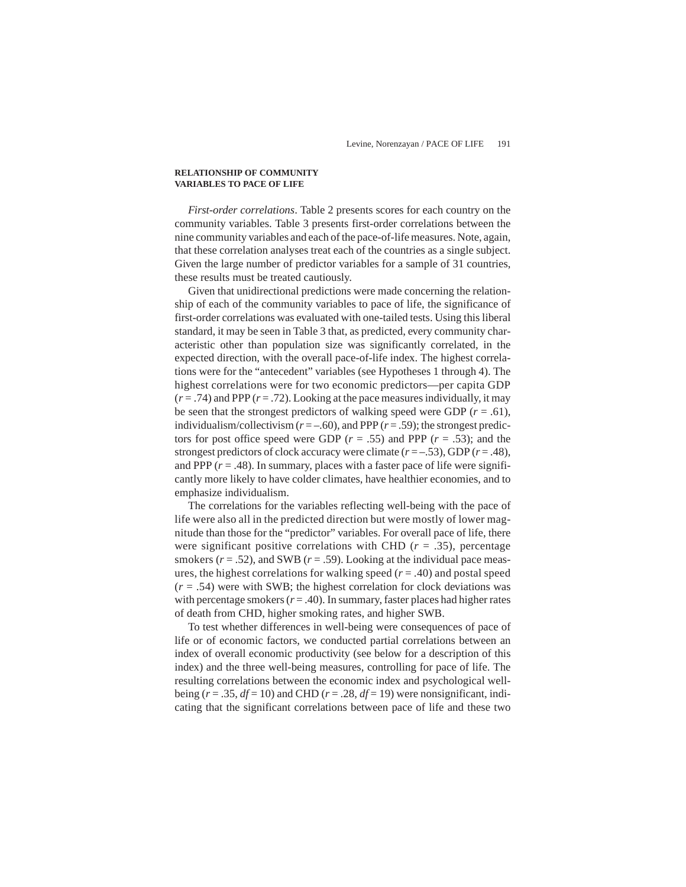## **RELATIONSHIP OF COMMUNITY VARIABLES TO PACE OF LIFE**

*First-order correlations*. Table 2 presents scores for each country on the community variables. Table 3 presents first-order correlations between the nine community variables and each of the pace-of-life measures. Note, again, that these correlation analyses treat each of the countries as a single subject. Given the large number of predictor variables for a sample of 31 countries, these results must be treated cautiously.

Given that unidirectional predictions were made concerning the relationship of each of the community variables to pace of life, the significance of first-order correlations was evaluated with one-tailed tests. Using this liberal standard, it may be seen in Table 3 that, as predicted, every community characteristic other than population size was significantly correlated, in the expected direction, with the overall pace-of-life index. The highest correlations were for the "antecedent" variables (see Hypotheses 1 through 4). The highest correlations were for two economic predictors—per capita GDP  $(r = .74)$  and PPP  $(r = .72)$ . Looking at the pace measures individually, it may be seen that the strongest predictors of walking speed were GDP  $(r = .61)$ , individualism/collectivism  $(r = -.60)$ , and PPP  $(r = .59)$ ; the strongest predictors for post office speed were GDP  $(r = .55)$  and PPP  $(r = .53)$ ; and the strongest predictors of clock accuracy were climate  $(r = -.53)$ , GDP  $(r = .48)$ , and PPP  $(r = .48)$ . In summary, places with a faster pace of life were significantly more likely to have colder climates, have healthier economies, and to emphasize individualism.

The correlations for the variables reflecting well-being with the pace of life were also all in the predicted direction but were mostly of lower magnitude than those for the "predictor" variables. For overall pace of life, there were significant positive correlations with CHD  $(r = .35)$ , percentage smokers  $(r = .52)$ , and SWB  $(r = .59)$ . Looking at the individual pace measures, the highest correlations for walking speed (*r* = .40) and postal speed  $(r = .54)$  were with SWB; the highest correlation for clock deviations was with percentage smokers  $(r = .40)$ . In summary, faster places had higher rates of death from CHD, higher smoking rates, and higher SWB.

To test whether differences in well-being were consequences of pace of life or of economic factors, we conducted partial correlations between an index of overall economic productivity (see below for a description of this index) and the three well-being measures, controlling for pace of life. The resulting correlations between the economic index and psychological wellbeing  $(r = .35, df = 10)$  and CHD  $(r = .28, df = 19)$  were nonsignificant, indicating that the significant correlations between pace of life and these two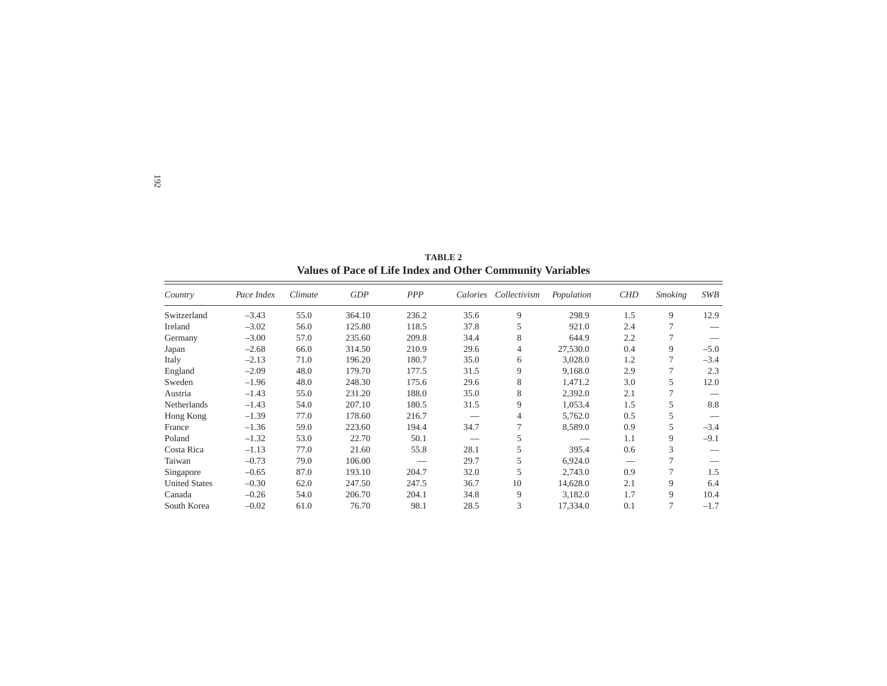| Country              | Pace Index | Climate | GDP    | PPP   | Calories | Collectivism   | Population | <b>CHD</b> | <b>Smoking</b> | <b>SWB</b> |
|----------------------|------------|---------|--------|-------|----------|----------------|------------|------------|----------------|------------|
| Switzerland          | $-3.43$    | 55.0    | 364.10 | 236.2 | 35.6     | 9              | 298.9      | 1.5        | 9              | 12.9       |
| Ireland              | $-3.02$    | 56.0    | 125.80 | 118.5 | 37.8     | 5              | 921.0      | 2.4        | 7              |            |
| Germany              | $-3.00$    | 57.0    | 235.60 | 209.8 | 34.4     | 8              | 644.9      | 2.2        | 7              |            |
| Japan                | $-2.68$    | 66.0    | 314.50 | 210.9 | 29.6     | $\overline{4}$ | 27,530.0   | 0.4        | 9              | $-5.0$     |
| Italy                | $-2.13$    | 71.0    | 196.20 | 180.7 | 35.0     | 6              | 3,028.0    | 1.2        | 7              | $-3.4$     |
| England              | $-2.09$    | 48.0    | 179.70 | 177.5 | 31.5     | 9              | 9,168.0    | 2.9        | 7              | 2.3        |
| Sweden               | $-1.96$    | 48.0    | 248.30 | 175.6 | 29.6     | 8              | 1,471.2    | 3.0        | 5              | 12.0       |
| Austria              | $-1.43$    | 55.0    | 231.20 | 188.0 | 35.0     | 8              | 2,392.0    | 2.1        | 7              |            |
| Netherlands          | $-1.43$    | 54.0    | 207.10 | 180.5 | 31.5     | 9              | 1,053.4    | 1.5        | 5              | 8.8        |
| Hong Kong            | $-1.39$    | 77.0    | 178.60 | 216.7 |          | 4              | 5,762.0    | 0.5        | 5              |            |
| France               | $-1.36$    | 59.0    | 223.60 | 194.4 | 34.7     |                | 8,589.0    | 0.9        | 5              | $-3.4$     |
| Poland               | $-1.32$    | 53.0    | 22.70  | 50.1  |          | 5              |            | 1.1        | 9              | $-9.1$     |
| Costa Rica           | $-1.13$    | 77.0    | 21.60  | 55.8  | 28.1     | 5              | 395.4      | 0.6        | 3              |            |
| Taiwan               | $-0.73$    | 79.0    | 106.00 |       | 29.7     | 5              | 6,924.0    |            | 7              |            |
| Singapore            | $-0.65$    | 87.0    | 193.10 | 204.7 | 32.0     | 5              | 2,743.0    | 0.9        | 7              | 1.5        |
| <b>United States</b> | $-0.30$    | 62.0    | 247.50 | 247.5 | 36.7     | 10             | 14,628.0   | 2.1        | 9              | 6.4        |
| Canada               | $-0.26$    | 54.0    | 206.70 | 204.1 | 34.8     | 9              | 3,182.0    | 1.7        | 9              | 10.4       |
| South Korea          | $-0.02$    | 61.0    | 76.70  | 98.1  | 28.5     | 3              | 17,334.0   | 0.1        | 7              | $-1.7$     |

**TABLE 2 Values of Pace of Life Index and Other Community Variables**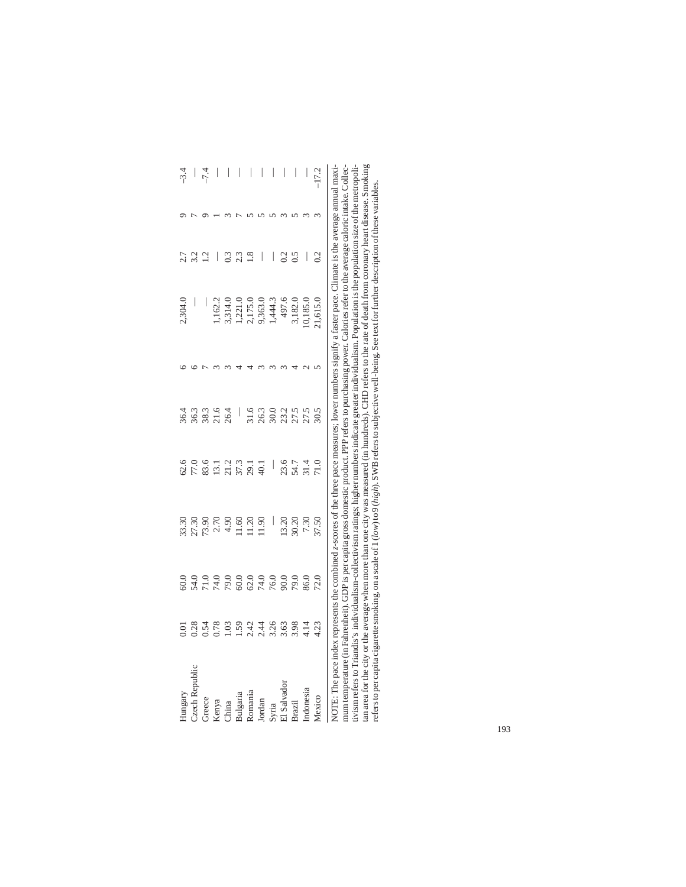|                                                                      |  |                                                                                                                                                                                                                                                             |                                                                                                                                                                                                                                                                                       |                                                                                                                                                                                                                                                                                       | 2,304.0                                                                                         |     |                        | $-3.4$                                                        |
|----------------------------------------------------------------------|--|-------------------------------------------------------------------------------------------------------------------------------------------------------------------------------------------------------------------------------------------------------------|---------------------------------------------------------------------------------------------------------------------------------------------------------------------------------------------------------------------------------------------------------------------------------------|---------------------------------------------------------------------------------------------------------------------------------------------------------------------------------------------------------------------------------------------------------------------------------------|-------------------------------------------------------------------------------------------------|-----|------------------------|---------------------------------------------------------------|
|                                                                      |  | $\begin{array}{c} 3,3,6\\ 7,1,3,6\\ 7,2,3,6\\ 8,3,6\\ 1,1,2,6\\ 1,1,3,6\\ 1,1,2,6\\ 1,1,3,6\\ 1,1,2,3,4\\ 1,1,3,4\\ 1,2,3,4\\ 1,3,4,5\\ 1,4,5,6\\ 1,3,6,6\\ 1,4,5,6\\ 1,5,6,6\\ 1,5,6,6,7,8\\ 1,5,6,7,8,7,8\\ 1,5,6,7,6,7,8,8\\ 1,5,6,7,6,7,7,8\\ 1,5,6,7,$ | $\begin{array}{c} 69.6 & 0.01 & 0.01 \\ 0.00 & 0.01 & 0.01 \\ 0.00 & 0.01 & 0.01 \\ 0.00 & 0.01 & 0.01 \\ 0.00 & 0.01 & 0.01 \\ 0.00 & 0.01 & 0.01 \\ 0.00 & 0.01 & 0.01 \\ 0.00 & 0.01 & 0.01 \\ 0.00 & 0.01 & 0.01 \\ 0.00 & 0.01 & 0.01 \\ 0.00 & 0.01 & 0.01 \\ 0.00 & 0.01 & 0.$ | 3 3 3 3 4<br>3 3 3 4 5 4<br>3 4 5 4                                                                                                                                                                                                                                                   |                                                                                                 | 3.2 |                        | $\begin{array}{c} \end{array}$                                |
|                                                                      |  |                                                                                                                                                                                                                                                             |                                                                                                                                                                                                                                                                                       |                                                                                                                                                                                                                                                                                       |                                                                                                 |     |                        | $-7.4$                                                        |
| Greece<br>Kenya<br>China<br>Bulgaria<br>Bunania<br>Romania<br>Jordan |  |                                                                                                                                                                                                                                                             |                                                                                                                                                                                                                                                                                       |                                                                                                                                                                                                                                                                                       |                                                                                                 |     |                        |                                                               |
|                                                                      |  |                                                                                                                                                                                                                                                             |                                                                                                                                                                                                                                                                                       |                                                                                                                                                                                                                                                                                       |                                                                                                 | 2.3 |                        | $\bigg $                                                      |
|                                                                      |  |                                                                                                                                                                                                                                                             |                                                                                                                                                                                                                                                                                       | $\begin{array}{c} 1.6930000 \\ 2.590000 \\ 2.590000 \\ 2.590000 \\ 2.59000 \\ 2.59000 \\ 2.59000 \\ 2.59000 \\ 2.59000 \\ 2.59000 \\ 2.59000 \\ 2.59000 \\ 2.59000 \\ 2.59000 \\ 2.59000 \\ 2.59000 \\ 2.59000 \\ 2.59000 \\ 2.59000 \\ 2.59000 \\ 2.59000 \\ 2.59000 \\ 2.59000 \\ $ |                                                                                                 | 2.3 |                        |                                                               |
|                                                                      |  |                                                                                                                                                                                                                                                             |                                                                                                                                                                                                                                                                                       |                                                                                                                                                                                                                                                                                       |                                                                                                 | 1.8 |                        | $\vert \vert \vert \vert \vert \vert \vert \vert \vert \vert$ |
|                                                                      |  |                                                                                                                                                                                                                                                             |                                                                                                                                                                                                                                                                                       |                                                                                                                                                                                                                                                                                       |                                                                                                 |     |                        |                                                               |
|                                                                      |  | $\frac{13.20}{30.20}$                                                                                                                                                                                                                                       |                                                                                                                                                                                                                                                                                       |                                                                                                                                                                                                                                                                                       |                                                                                                 |     |                        |                                                               |
| El Salvador                                                          |  |                                                                                                                                                                                                                                                             |                                                                                                                                                                                                                                                                                       |                                                                                                                                                                                                                                                                                       |                                                                                                 | 0.2 |                        | $\overline{\phantom{a}}$                                      |
| <b>Srazil</b>                                                        |  |                                                                                                                                                                                                                                                             |                                                                                                                                                                                                                                                                                       |                                                                                                                                                                                                                                                                                       |                                                                                                 |     |                        |                                                               |
| ndonesia                                                             |  |                                                                                                                                                                                                                                                             |                                                                                                                                                                                                                                                                                       |                                                                                                                                                                                                                                                                                       | 1,162.2<br>3,314.0<br>1,221.0<br>2,175.0<br>9,363.0<br>1,444.3<br>3,182.0<br>3,185.0<br>0,185.0 |     |                        |                                                               |
|                                                                      |  | 17.50                                                                                                                                                                                                                                                       |                                                                                                                                                                                                                                                                                       | 30.5                                                                                                                                                                                                                                                                                  |                                                                                                 |     |                        | 17.2                                                          |
|                                                                      |  |                                                                                                                                                                                                                                                             | the three pace measures: lower numbers sign                                                                                                                                                                                                                                           |                                                                                                                                                                                                                                                                                       |                                                                                                 |     | he average annual maxi |                                                               |

mum temperature (in Fahrenheit). GDP is per capita gross domestic product. PPP refers to purchasing power. Calories refer to the average caloric intake. Collection in the properature (in Fahrenheit). GDP is per capita gro NOTE: The pace index represents the combined *z*-scores of the three pace measures; lower numbers signify a faster pace. Climate is the average annual maximum temperature (in Fahrenheit). GDP is per capita gross domestic product. PPP refers to purchasing power. Calories refer to the average caloric intake. Collectivism refers to Triandis's individualism-collectivism ratings; higher numbers indicate greater individualism. Population is the population size of the metropolitan area for the city or the average when more than one city was measured (in hundreds). CHD refers to the rate of death from coronary heart disease. Smoking refers to per capita cigarette smoking, on a scale of 1 (*low*) to 9 (*high*). SWB refers to subjective well-being. See text for further description of these variables.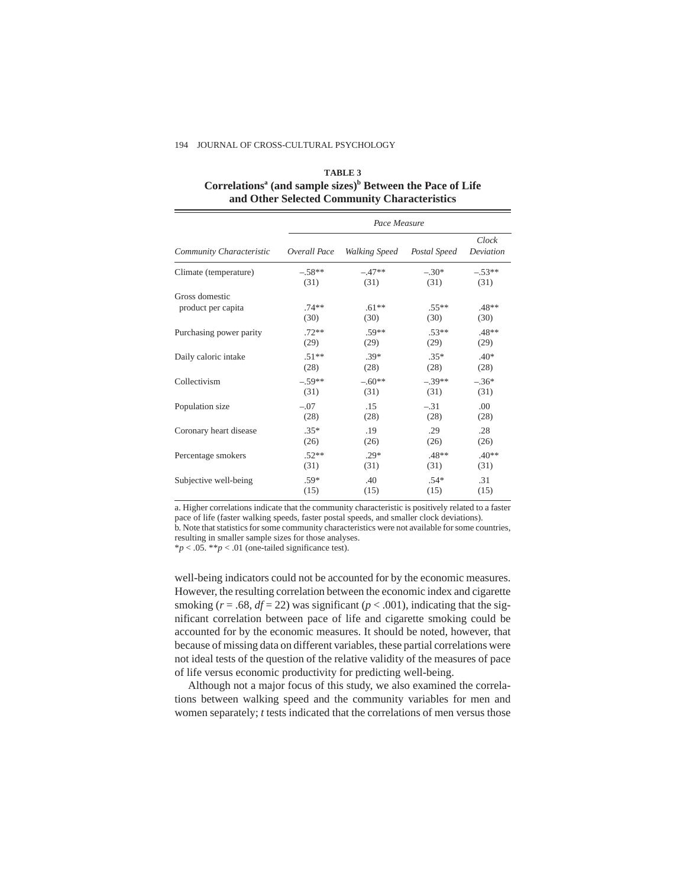| TABLE 3                                                                            |
|------------------------------------------------------------------------------------|
| Correlations <sup>a</sup> (and sample sizes) <sup>b</sup> Between the Pace of Life |
| and Other Selected Community Characteristics                                       |

|                          | Pace Measure |               |              |                    |  |  |
|--------------------------|--------------|---------------|--------------|--------------------|--|--|
| Community Characteristic | Overall Pace | Walking Speed | Postal Speed | Clock<br>Deviation |  |  |
| Climate (temperature)    | $-.58**$     | $-.47**$      | $-.30*$      | $-.53**$           |  |  |
|                          | (31)         | (31)          | (31)         | (31)               |  |  |
| Gross domestic           | $.74**$      | $.61**$       | $.55***$     | $.48**$            |  |  |
| product per capita       | (30)         | (30)          | (30)         | (30)               |  |  |
| Purchasing power parity  | $72**$       | $.59**$       | $53**$       | $.48**$            |  |  |
|                          | (29)         | (29)          | (29)         | (29)               |  |  |
| Daily caloric intake     | $.51**$      | $.39*$        | $.35*$       | $.40*$             |  |  |
|                          | (28)         | (28)          | (28)         | (28)               |  |  |
| Collectivism             | $-.59**$     | $-.60**$      | $-.39**$     | $-.36*$            |  |  |
|                          | (31)         | (31)          | (31)         | (31)               |  |  |
| Population size          | $-.07$       | .15           | $-.31$       | .00 <sub>1</sub>   |  |  |
|                          | (28)         | (28)          | (28)         | (28)               |  |  |
| Coronary heart disease   | $.35*$       | .19           | .29          | .28                |  |  |
|                          | (26)         | (26)          | (26)         | (26)               |  |  |
| Percentage smokers       | $.52**$      | $.29*$        | $.48**$      | $.40**$            |  |  |
|                          | (31)         | (31)          | (31)         | (31)               |  |  |
| Subjective well-being    | $.59*$       | .40           | $.54*$       | .31                |  |  |
|                          | (15)         | (15)          | (15)         | (15)               |  |  |

a. Higher correlations indicate that the community characteristic is positively related to a faster pace of life (faster walking speeds, faster postal speeds, and smaller clock deviations).

b. Note that statistics for some community characteristics were not available for some countries, resulting in smaller sample sizes for those analyses.

 $* p < .05$ .  $* p < .01$  (one-tailed significance test).

well-being indicators could not be accounted for by the economic measures. However, the resulting correlation between the economic index and cigarette smoking ( $r = .68$ ,  $df = 22$ ) was significant ( $p < .001$ ), indicating that the significant correlation between pace of life and cigarette smoking could be accounted for by the economic measures. It should be noted, however, that because of missing data on different variables, these partial correlations were not ideal tests of the question of the relative validity of the measures of pace of life versus economic productivity for predicting well-being.

Although not a major focus of this study, we also examined the correlations between walking speed and the community variables for men and women separately; *t* tests indicated that the correlations of men versus those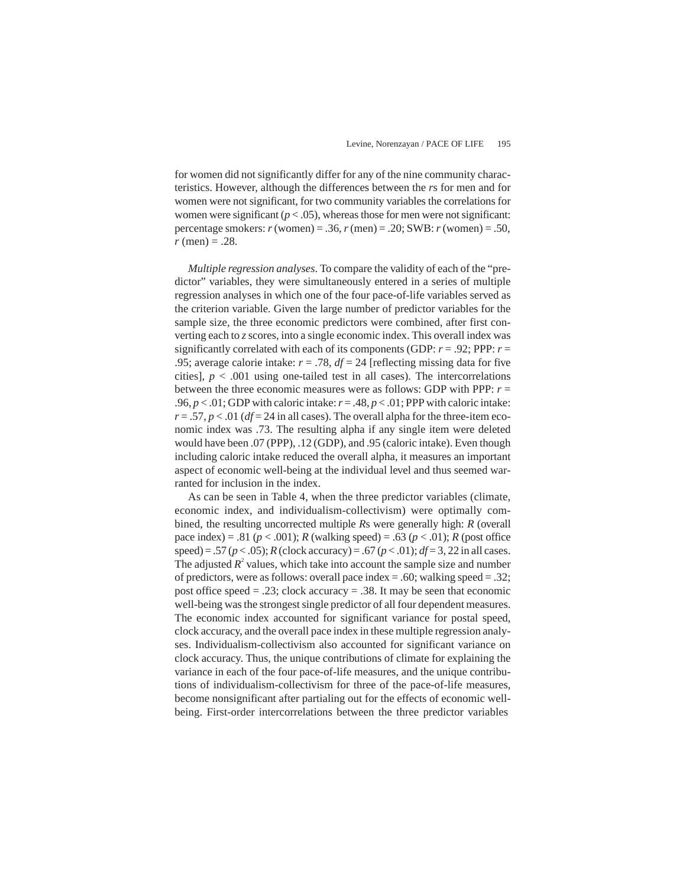for women did not significantly differ for any of the nine community characteristics. However, although the differences between the *r*s for men and for women were not significant, for two community variables the correlations for women were significant  $(p < .05)$ , whereas those for men were not significant: percentage smokers:*r*(women) = .36,*r*(men) = .20; SWB:*r*(women) = .50,  $r$  (men) = .28.

*Multiple regression analyses*. To compare the validity of each of the "predictor" variables, they were simultaneously entered in a series of multiple regression analyses in which one of the four pace-of-life variables served as the criterion variable. Given the large number of predictor variables for the sample size, the three economic predictors were combined, after first converting each to *z* scores, into a single economic index. This overall index was significantly correlated with each of its components (GDP:  $r = .92$ ; PPP:  $r =$ .95; average calorie intake:  $r = .78$ ,  $df = 24$  [reflecting missing data for five cities],  $p < .001$  using one-tailed test in all cases). The intercorrelations between the three economic measures were as follows: GDP with PPP: *r* = .96,  $p < .01$ ; GDP with caloric intake:  $r = .48$ ,  $p < .01$ ; PPP with caloric intake:  $r = .57$ ,  $p < .01$  ( $df = 24$  in all cases). The overall alpha for the three-item economic index was .73. The resulting alpha if any single item were deleted would have been .07 (PPP), .12 (GDP), and .95 (caloric intake). Even though including caloric intake reduced the overall alpha, it measures an important aspect of economic well-being at the individual level and thus seemed warranted for inclusion in the index.

As can be seen in Table 4, when the three predictor variables (climate, economic index, and individualism-collectivism) were optimally combined, the resulting uncorrected multiple *R*s were generally high: *R* (overall pace index) = .81 ( $p < .001$ ); *R* (walking speed) = .63 ( $p < .01$ ); *R* (post office  $speed) = .57 (p < .05); R (clock accuracy) = .67 (p < .01); df = 3, 22 in all cases.$ The adjusted  $R^2$  values, which take into account the sample size and number of predictors, were as follows: overall pace index = .60; walking speed = .32; post office speed  $= .23$ ; clock accuracy  $= .38$ . It may be seen that economic well-being was the strongest single predictor of all four dependent measures. The economic index accounted for significant variance for postal speed, clock accuracy, and the overall pace index in these multiple regression analyses. Individualism-collectivism also accounted for significant variance on clock accuracy. Thus, the unique contributions of climate for explaining the variance in each of the four pace-of-life measures, and the unique contributions of individualism-collectivism for three of the pace-of-life measures, become nonsignificant after partialing out for the effects of economic wellbeing. First-order intercorrelations between the three predictor variables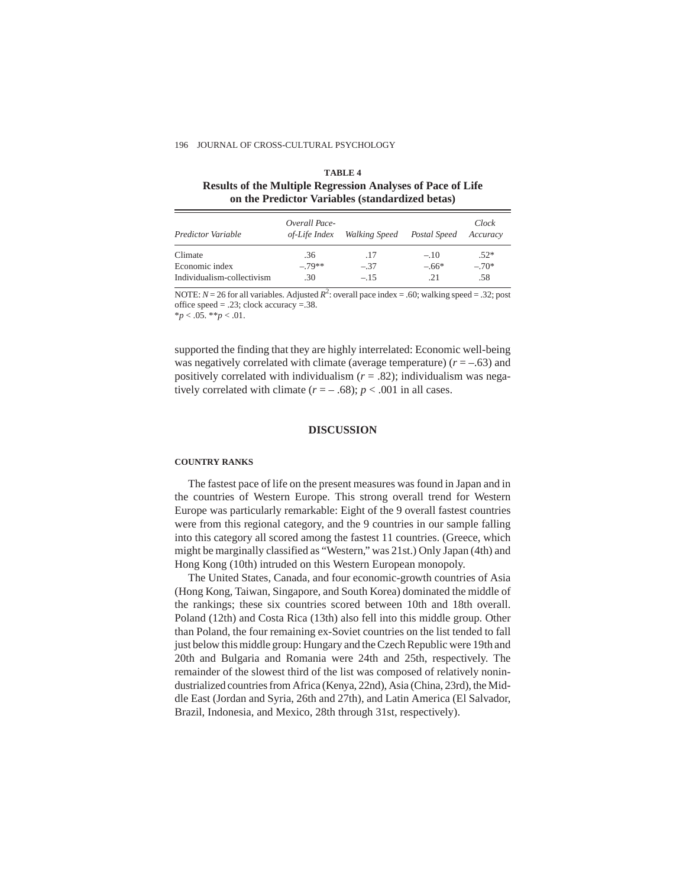**TABLE 4 Results of the Multiple Regression Analyses of Pace of Life on the Predictor Variables (standardized betas)**

| Predictor Variable         | Overall Pace-<br>of-Life Index | Walking Speed | Postal Speed | Clock<br>Accuracy |
|----------------------------|--------------------------------|---------------|--------------|-------------------|
| Climate                    | .36                            | .17           | $-.10$       | $.52*$            |
| Economic index             | $-79**$                        | $-.37$        | $-.66*$      | $-.70*$           |
| Individualism-collectivism | .30                            | $-15$         | .21          | .58               |

NOTE:  $N = 26$  for all variables. Adjusted  $R^2$ : overall pace index = .60; walking speed = .32; post office speed  $= .23$ ; clock accuracy  $= .38$ .

\**p* < .05. \*\**p* < .01.

supported the finding that they are highly interrelated: Economic well-being was negatively correlated with climate (average temperature)  $(r = -.63)$  and positively correlated with individualism  $(r = .82)$ ; individualism was negatively correlated with climate  $(r = -.68)$ ;  $p < .001$  in all cases.

## **DISCUSSION**

## **COUNTRY RANKS**

The fastest pace of life on the present measures was found in Japan and in the countries of Western Europe. This strong overall trend for Western Europe was particularly remarkable: Eight of the 9 overall fastest countries were from this regional category, and the 9 countries in our sample falling into this category all scored among the fastest 11 countries. (Greece, which might be marginally classified as "Western," was 21st.) Only Japan (4th) and Hong Kong (10th) intruded on this Western European monopoly.

The United States, Canada, and four economic-growth countries of Asia (Hong Kong, Taiwan, Singapore, and South Korea) dominated the middle of the rankings; these six countries scored between 10th and 18th overall. Poland (12th) and Costa Rica (13th) also fell into this middle group. Other than Poland, the four remaining ex-Soviet countries on the list tended to fall just below this middle group: Hungary and the Czech Republic were 19th and 20th and Bulgaria and Romania were 24th and 25th, respectively. The remainder of the slowest third of the list was composed of relatively nonindustrialized countries from Africa (Kenya, 22nd), Asia (China, 23rd), the Middle East (Jordan and Syria, 26th and 27th), and Latin America (El Salvador, Brazil, Indonesia, and Mexico, 28th through 31st, respectively).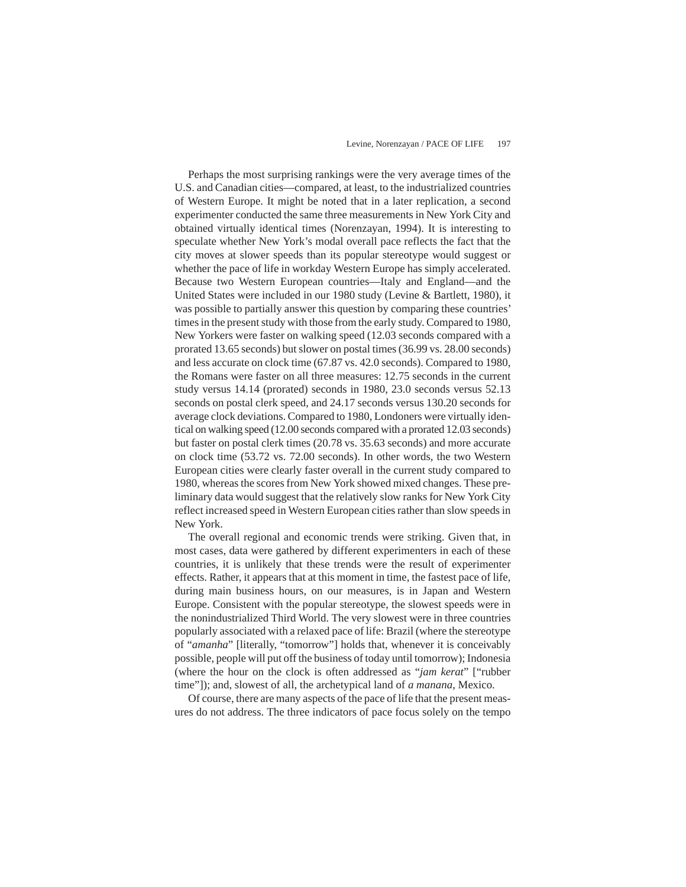Perhaps the most surprising rankings were the very average times of the U.S. and Canadian cities—compared, at least, to the industrialized countries of Western Europe. It might be noted that in a later replication, a second experimenter conducted the same three measurements in New York City and obtained virtually identical times (Norenzayan, 1994). It is interesting to speculate whether New York's modal overall pace reflects the fact that the city moves at slower speeds than its popular stereotype would suggest or whether the pace of life in workday Western Europe has simply accelerated. Because two Western European countries—Italy and England—and the United States were included in our 1980 study (Levine & Bartlett, 1980), it was possible to partially answer this question by comparing these countries' times in the present study with those from the early study. Compared to 1980, New Yorkers were faster on walking speed (12.03 seconds compared with a prorated 13.65 seconds) but slower on postal times (36.99 vs. 28.00 seconds) and less accurate on clock time (67.87 vs. 42.0 seconds). Compared to 1980, the Romans were faster on all three measures: 12.75 seconds in the current study versus 14.14 (prorated) seconds in 1980, 23.0 seconds versus 52.13 seconds on postal clerk speed, and 24.17 seconds versus 130.20 seconds for average clock deviations. Compared to 1980, Londoners were virtually identical on walking speed (12.00 seconds compared with a prorated 12.03 seconds) but faster on postal clerk times (20.78 vs. 35.63 seconds) and more accurate on clock time (53.72 vs. 72.00 seconds). In other words, the two Western European cities were clearly faster overall in the current study compared to 1980, whereas the scores from New York showed mixed changes. These preliminary data would suggest that the relatively slow ranks for New York City reflect increased speed in Western European cities rather than slow speeds in New York.

The overall regional and economic trends were striking. Given that, in most cases, data were gathered by different experimenters in each of these countries, it is unlikely that these trends were the result of experimenter effects. Rather, it appears that at this moment in time, the fastest pace of life, during main business hours, on our measures, is in Japan and Western Europe. Consistent with the popular stereotype, the slowest speeds were in the nonindustrialized Third World. The very slowest were in three countries popularly associated with a relaxed pace of life: Brazil (where the stereotype of "*amanha*" [literally, "tomorrow"] holds that, whenever it is conceivably possible, people will put off the business of today until tomorrow); Indonesia (where the hour on the clock is often addressed as "*jam kerat*" ["rubber time"]); and, slowest of all, the archetypical land of *a manana*, Mexico.

Of course, there are many aspects of the pace of life that the present measures do not address. The three indicators of pace focus solely on the tempo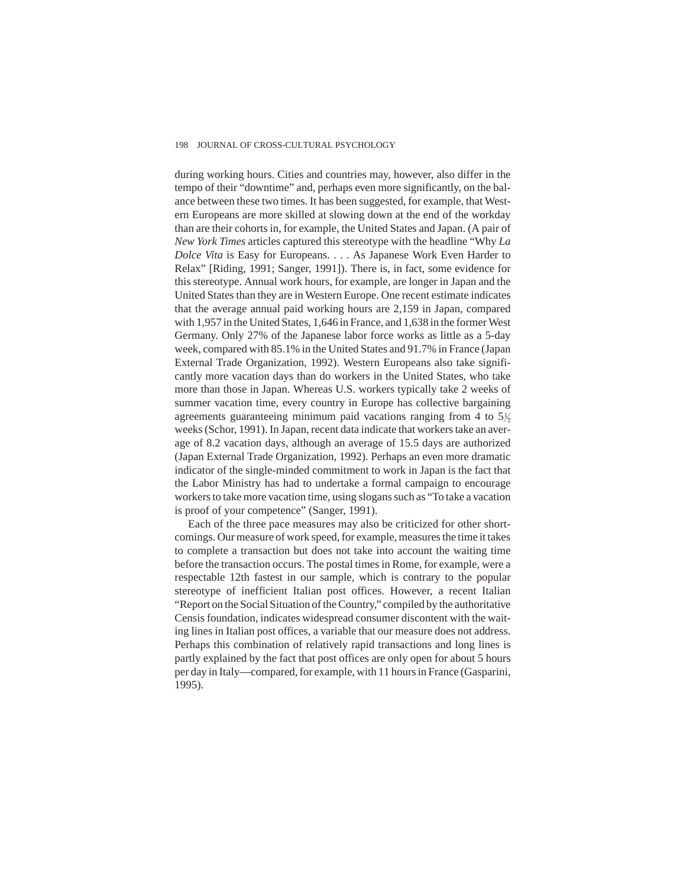during working hours. Cities and countries may, however, also differ in the tempo of their "downtime" and, perhaps even more significantly, on the balance between these two times. It has been suggested, for example, that Western Europeans are more skilled at slowing down at the end of the workday than are their cohorts in, for example, the United States and Japan. (A pair of *New York Times* articles captured this stereotype with the headline "Why *La Dolce Vita* is Easy for Europeans. . . . As Japanese Work Even Harder to Relax" [Riding, 1991; Sanger, 1991]). There is, in fact, some evidence for this stereotype. Annual work hours, for example, are longer in Japan and the United States than they are in Western Europe. One recent estimate indicates that the average annual paid working hours are 2,159 in Japan, compared with 1,957 in the United States, 1,646 in France, and 1,638 in the former West Germany. Only 27% of the Japanese labor force works as little as a 5-day week, compared with 85.1% in the United States and 91.7% in France (Japan External Trade Organization, 1992). Western Europeans also take significantly more vacation days than do workers in the United States, who take more than those in Japan. Whereas U.S. workers typically take 2 weeks of summer vacation time, every country in Europe has collective bargaining agreements guaranteeing minimum paid vacations ranging from 4 to  $5\frac{1}{2}$ weeks (Schor, 1991). In Japan, recent data indicate that workers take an average of 8.2 vacation days, although an average of 15.5 days are authorized (Japan External Trade Organization, 1992). Perhaps an even more dramatic indicator of the single-minded commitment to work in Japan is the fact that the Labor Ministry has had to undertake a formal campaign to encourage workers to take more vacation time, using slogans such as "To take a vacation is proof of your competence" (Sanger, 1991).

Each of the three pace measures may also be criticized for other shortcomings. Our measure of work speed, for example, measures the time it takes to complete a transaction but does not take into account the waiting time before the transaction occurs. The postal times in Rome, for example, were a respectable 12th fastest in our sample, which is contrary to the popular stereotype of inefficient Italian post offices. However, a recent Italian "Report on the Social Situation of the Country," compiled by the authoritative Censis foundation, indicates widespread consumer discontent with the waiting lines in Italian post offices, a variable that our measure does not address. Perhaps this combination of relatively rapid transactions and long lines is partly explained by the fact that post offices are only open for about 5 hours per day in Italy—compared, for example, with 11 hours in France (Gasparini, 1995).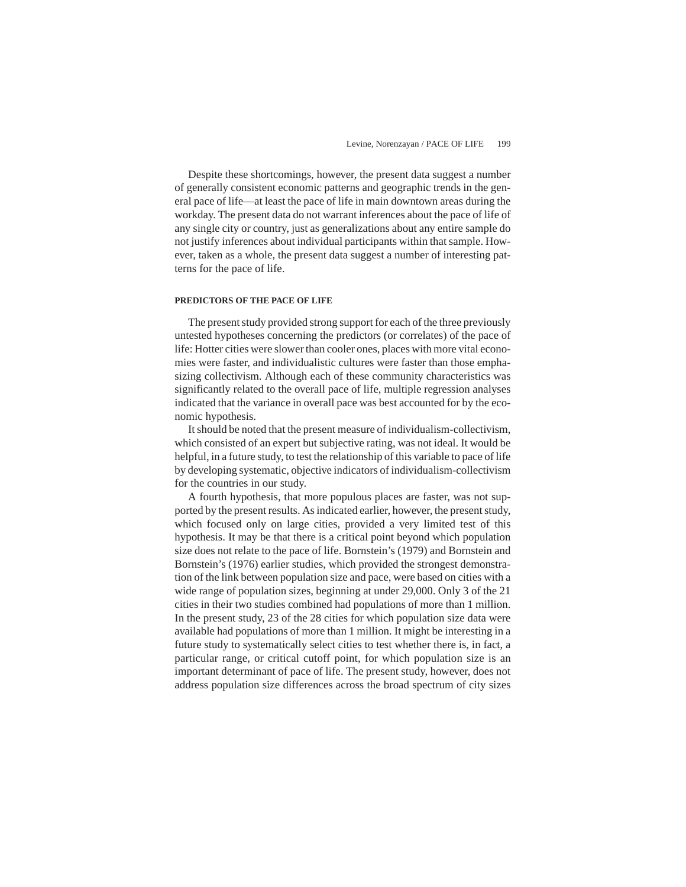Despite these shortcomings, however, the present data suggest a number of generally consistent economic patterns and geographic trends in the general pace of life—at least the pace of life in main downtown areas during the workday. The present data do not warrant inferences about the pace of life of any single city or country, just as generalizations about any entire sample do not justify inferences about individual participants within that sample. However, taken as a whole, the present data suggest a number of interesting patterns for the pace of life.

## **PREDICTORS OF THE PACE OF LIFE**

The present study provided strong support for each of the three previously untested hypotheses concerning the predictors (or correlates) of the pace of life: Hotter cities were slower than cooler ones, places with more vital economies were faster, and individualistic cultures were faster than those emphasizing collectivism. Although each of these community characteristics was significantly related to the overall pace of life, multiple regression analyses indicated that the variance in overall pace was best accounted for by the economic hypothesis.

It should be noted that the present measure of individualism-collectivism, which consisted of an expert but subjective rating, was not ideal. It would be helpful, in a future study, to test the relationship of this variable to pace of life by developing systematic, objective indicators of individualism-collectivism for the countries in our study.

A fourth hypothesis, that more populous places are faster, was not supported by the present results. As indicated earlier, however, the present study, which focused only on large cities, provided a very limited test of this hypothesis. It may be that there is a critical point beyond which population size does not relate to the pace of life. Bornstein's (1979) and Bornstein and Bornstein's (1976) earlier studies, which provided the strongest demonstration of the link between population size and pace, were based on cities with a wide range of population sizes, beginning at under 29,000. Only 3 of the 21 cities in their two studies combined had populations of more than 1 million. In the present study, 23 of the 28 cities for which population size data were available had populations of more than 1 million. It might be interesting in a future study to systematically select cities to test whether there is, in fact, a particular range, or critical cutoff point, for which population size is an important determinant of pace of life. The present study, however, does not address population size differences across the broad spectrum of city sizes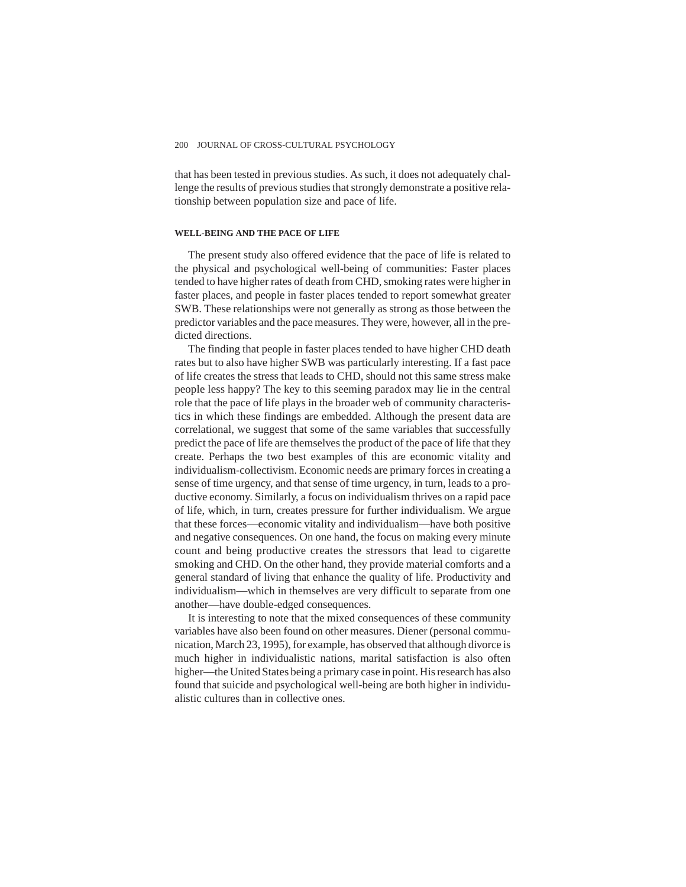that has been tested in previous studies. As such, it does not adequately challenge the results of previous studies that strongly demonstrate a positive relationship between population size and pace of life.

## **WELL-BEING AND THE PACE OF LIFE**

The present study also offered evidence that the pace of life is related to the physical and psychological well-being of communities: Faster places tended to have higher rates of death from CHD, smoking rates were higher in faster places, and people in faster places tended to report somewhat greater SWB. These relationships were not generally as strong as those between the predictor variables and the pace measures. They were, however, all in the predicted directions.

The finding that people in faster places tended to have higher CHD death rates but to also have higher SWB was particularly interesting. If a fast pace of life creates the stress that leads to CHD, should not this same stress make people less happy? The key to this seeming paradox may lie in the central role that the pace of life plays in the broader web of community characteristics in which these findings are embedded. Although the present data are correlational, we suggest that some of the same variables that successfully predict the pace of life are themselves the product of the pace of life that they create. Perhaps the two best examples of this are economic vitality and individualism-collectivism. Economic needs are primary forces in creating a sense of time urgency, and that sense of time urgency, in turn, leads to a productive economy. Similarly, a focus on individualism thrives on a rapid pace of life, which, in turn, creates pressure for further individualism. We argue that these forces—economic vitality and individualism—have both positive and negative consequences. On one hand, the focus on making every minute count and being productive creates the stressors that lead to cigarette smoking and CHD. On the other hand, they provide material comforts and a general standard of living that enhance the quality of life. Productivity and individualism—which in themselves are very difficult to separate from one another—have double-edged consequences.

It is interesting to note that the mixed consequences of these community variables have also been found on other measures. Diener (personal communication, March 23, 1995), for example, has observed that although divorce is much higher in individualistic nations, marital satisfaction is also often higher—the United States being a primary case in point. His research has also found that suicide and psychological well-being are both higher in individualistic cultures than in collective ones.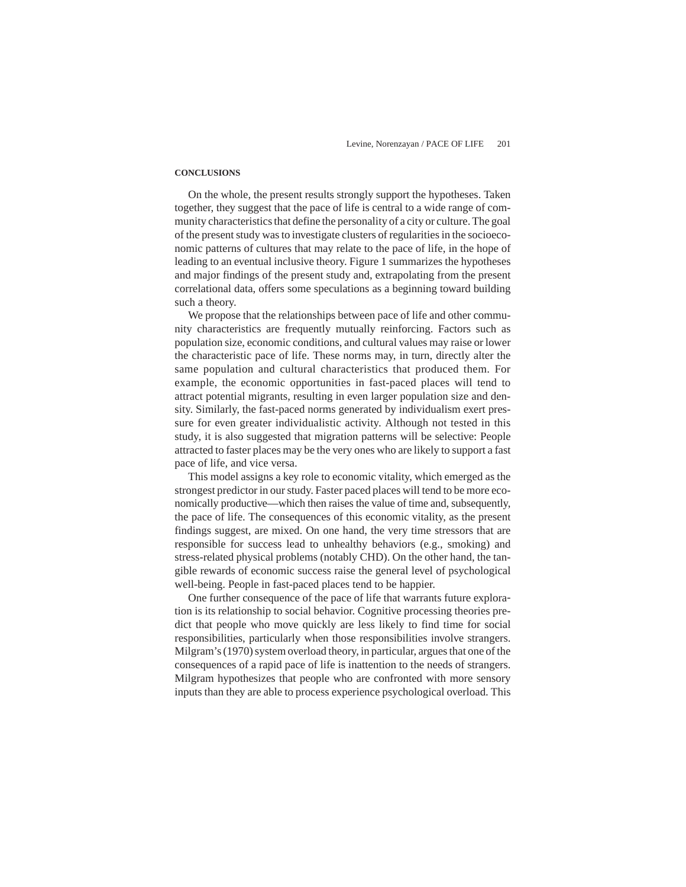## **CONCLUSIONS**

On the whole, the present results strongly support the hypotheses. Taken together, they suggest that the pace of life is central to a wide range of community characteristics that define the personality of a city or culture. The goal of the present study was to investigate clusters of regularities in the socioeconomic patterns of cultures that may relate to the pace of life, in the hope of leading to an eventual inclusive theory. Figure 1 summarizes the hypotheses and major findings of the present study and, extrapolating from the present correlational data, offers some speculations as a beginning toward building such a theory.

We propose that the relationships between pace of life and other community characteristics are frequently mutually reinforcing. Factors such as population size, economic conditions, and cultural values may raise or lower the characteristic pace of life. These norms may, in turn, directly alter the same population and cultural characteristics that produced them. For example, the economic opportunities in fast-paced places will tend to attract potential migrants, resulting in even larger population size and density. Similarly, the fast-paced norms generated by individualism exert pressure for even greater individualistic activity. Although not tested in this study, it is also suggested that migration patterns will be selective: People attracted to faster places may be the very ones who are likely to support a fast pace of life, and vice versa.

This model assigns a key role to economic vitality, which emerged as the strongest predictor in our study. Faster paced places will tend to be more economically productive—which then raises the value of time and, subsequently, the pace of life. The consequences of this economic vitality, as the present findings suggest, are mixed. On one hand, the very time stressors that are responsible for success lead to unhealthy behaviors (e.g., smoking) and stress-related physical problems (notably CHD). On the other hand, the tangible rewards of economic success raise the general level of psychological well-being. People in fast-paced places tend to be happier.

One further consequence of the pace of life that warrants future exploration is its relationship to social behavior. Cognitive processing theories predict that people who move quickly are less likely to find time for social responsibilities, particularly when those responsibilities involve strangers. Milgram's (1970) system overload theory, in particular, argues that one of the consequences of a rapid pace of life is inattention to the needs of strangers. Milgram hypothesizes that people who are confronted with more sensory inputs than they are able to process experience psychological overload. This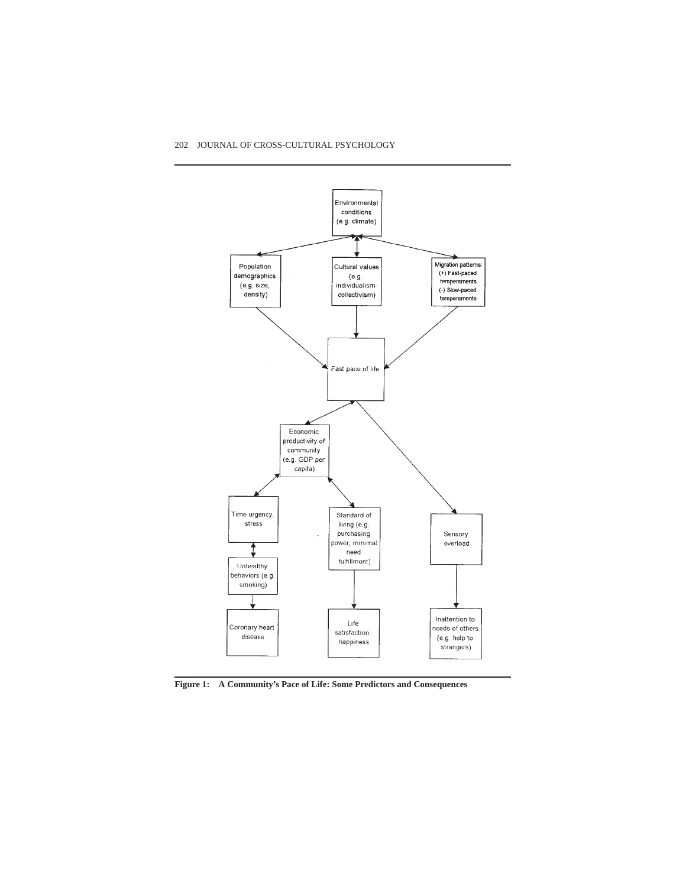

**Figure 1: A Community's Pace of Life: Some Predictors and Consequences**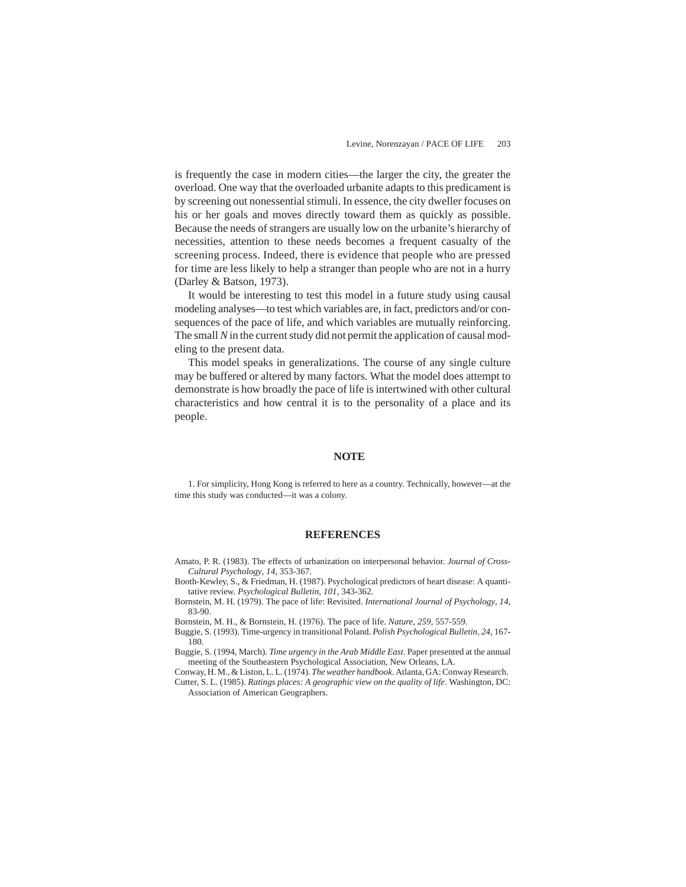is frequently the case in modern cities—the larger the city, the greater the overload. One way that the overloaded urbanite adapts to this predicament is by screening out nonessential stimuli. In essence, the city dweller focuses on his or her goals and moves directly toward them as quickly as possible. Because the needs of strangers are usually low on the urbanite's hierarchy of necessities, attention to these needs becomes a frequent casualty of the screening process. Indeed, there is evidence that people who are pressed for time are less likely to help a stranger than people who are not in a hurry (Darley & Batson, 1973).

It would be interesting to test this model in a future study using causal modeling analyses—to test which variables are, in fact, predictors and/or consequences of the pace of life, and which variables are mutually reinforcing. The small *N* in the current study did not permit the application of causal modeling to the present data.

This model speaks in generalizations. The course of any single culture may be buffered or altered by many factors. What the model does attempt to demonstrate is how broadly the pace of life is intertwined with other cultural characteristics and how central it is to the personality of a place and its people.

## **NOTE**

1. For simplicity, Hong Kong is referred to here as a country. Technically, however—at the time this study was conducted—it was a colony.

### **REFERENCES**

Amato, P. R. (1983). The effects of urbanization on interpersonal behavior. *Journal of Cross-Cultural Psychology*, *14*, 353-367.

Booth-Kewley, S., & Friedman, H. (1987). Psychological predictors of heart disease: A quantitative review. *Psychological Bulletin*, *101*, 343-362.

Bornstein, M. H. (1979). The pace of life: Revisited. *International Journal of Psychology*, *14*, 83-90.

Bornstein, M. H., & Bornstein, H. (1976). The pace of life. *Nature*, *259*, 557-559.

Buggie, S. (1993). Time-urgency in transitional Poland. *Polish Psychological Bulletin*, *24*, 167- 180.

Buggie, S. (1994, March). *Time urgency in the Arab Middle East*. Paper presented at the annual meeting of the Southeastern Psychological Association, New Orleans, LA.

Conway, H. M., & Liston, L. L. (1974). *The weather handbook*. Atlanta, GA: Conway Research. Cutter, S. L. (1985). *Ratings places: A geographic view on the quality of life*. Washington, DC: Association of American Geographers.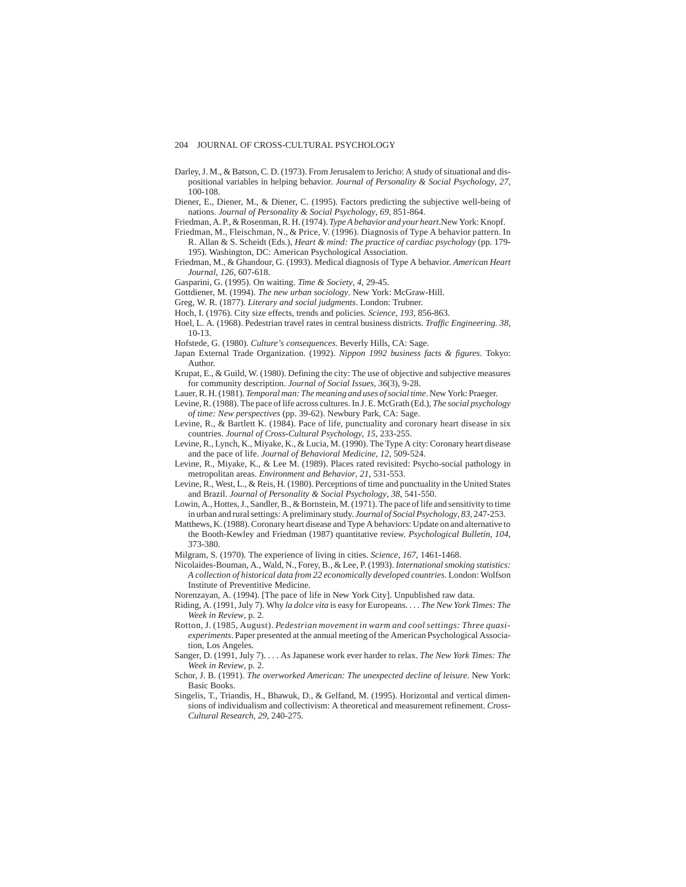- Darley, J. M., & Batson, C. D. (1973). From Jerusalem to Jericho: A study of situational and dispositional variables in helping behavior. *Journal of Personality & Social Psychology*, *27*, 100-108.
- Diener, E., Diener, M., & Diener, C. (1995). Factors predicting the subjective well-being of nations. *Journal of Personality & Social Psychology*, *69*, 851-864.
- Friedman, A. P., & Rosenman, R. H. (1974). *Type A behavior and your heart*.New York: Knopf.
- Friedman, M., Fleischman, N., & Price, V. (1996). Diagnosis of Type A behavior pattern. In R. Allan & S. Scheidt (Eds.), *Heart & mind: The practice of cardiac psychology* (pp. 179-
	- 195). Washington, DC: American Psychological Association.
- Friedman, M., & Ghandour, G. (1993). Medical diagnosis of Type A behavior. *American Heart Journal*, *126*, 607-618.
- Gasparini, G. (1995). On waiting. *Time & Society*, *4*, 29-45.
- Gottdiener, M. (1994). *The new urban sociology*. New York: McGraw-Hill.
- Greg, W. R. (1877). *Literary and social judgments*. London: Trubner.
- Hoch, I. (1976). City size effects, trends and policies. *Science*, *193*, 856-863.
- Hoel, L. A. (1968). Pedestrian travel rates in central business districts. *Traffic Engineering. 38*, 10-13.
- Hofstede, G. (1980). *Culture's consequences*. Beverly Hills, CA: Sage.
- Japan External Trade Organization. (1992). *Nippon 1992 business facts & figures*. Tokyo: Author.
- Krupat, E., & Guild, W. (1980). Defining the city: The use of objective and subjective measures for community description. *Journal of Social Issues*, *36*(3), 9-28.
- Lauer, R. H. (1981). *Temporal man: The meaning and uses of social time*. New York: Praeger.
- Levine, R. (1988). The pace of life across cultures. In J. E. McGrath (Ed.), *The social psychology of time: New perspectives* (pp. 39-62). Newbury Park, CA: Sage.
- Levine, R., & Bartlett K. (1984). Pace of life, punctuality and coronary heart disease in six countries. *Journal of Cross-Cultural Psychology*, *15*, 233-255.
- Levine, R., Lynch, K., Miyake, K., & Lucia, M. (1990). The Type A city: Coronary heart disease and the pace of life. *Journal of Behavioral Medicine*, *12*, 509-524.
- Levine, R., Miyake, K., & Lee M. (1989). Places rated revisited: Psycho-social pathology in metropolitan areas. *Environment and Behavior*, *21*, 531-553.
- Levine, R., West, L., & Reis, H. (1980). Perceptions of time and punctuality in the United States and Brazil. *Journal of Personality & Social Psychology*, *38*, 541-550.
- Lowin, A., Hottes, J., Sandler, B., & Bornstein, M. (1971). The pace of life and sensitivity to time in urban and rural settings: A preliminary study. *Journal of Social Psychology*, *83*, 247-253.
- Matthews, K. (1988). Coronary heart disease and Type A behaviors: Update on and alternative to the Booth-Kewley and Friedman (1987) quantitative review. *Psychological Bulletin*, *104*, 373-380.
- Milgram, S. (1970). The experience of living in cities. *Science*, *167*, 1461-1468.
- Nicolaides-Bouman, A., Wald, N., Forey, B., & Lee, P. (1993). *International smoking statistics: A collection of historical data from 22 economically developed countries*. London: Wolfson Institute of Preventitive Medicine.
- Norenzayan, A. (1994). [The pace of life in New York City]. Unpublished raw data.
- Riding, A. (1991, July 7). Why *la dolce vita* is easy for Europeans.... *The New York Times: The Week in Review*, p. 2.
- Rotton, J. (1985, August). *Pedestrian movement in warm and cool settings: Three quasiexperiments*. Paper presented at the annual meeting of the American Psychological Association, Los Angeles.
- Sanger, D. (1991, July 7). . . . As Japanese work ever harder to relax. *The New York Times: The Week in Review*, p. 2.
- Schor, J. B. (1991). *The overworked American: The unexpected decline of leisure*. New York: Basic Books.
- Singelis, T., Triandis, H., Bhawuk, D., & Gelfand, M. (1995). Horizontal and vertical dimensions of individualism and collectivism: A theoretical and measurement refinement. *Cross-Cultural Research*, *29*, 240-275.